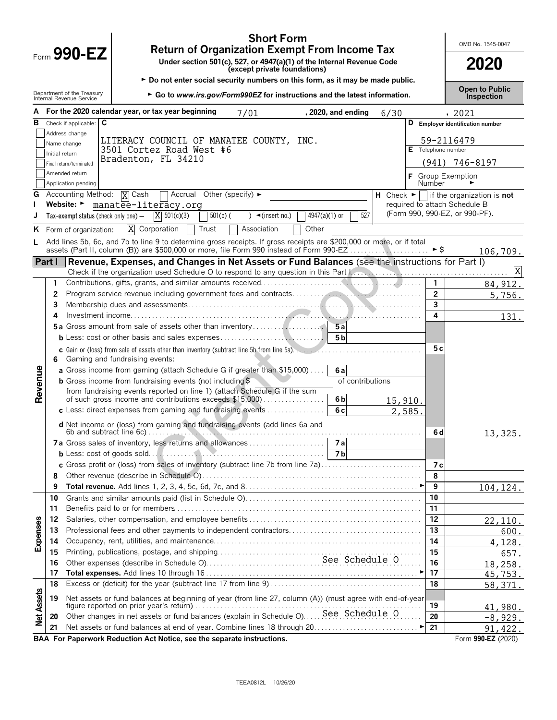|                   |                | $F_{\text{Orm}}$ 990-EZ                                | <b>Short Form</b><br><b>Return of Organization Exempt From Income Tax</b><br>Under section 501(c), 527, or 4947(a)(1) of the Internal Revenue Code<br>(except private foundations)                                             |         |                | OMB No. 1545-0047<br>2020                                                |
|-------------------|----------------|--------------------------------------------------------|--------------------------------------------------------------------------------------------------------------------------------------------------------------------------------------------------------------------------------|---------|----------------|--------------------------------------------------------------------------|
|                   |                |                                                        | ► Do not enter social security numbers on this form, as it may be made public.                                                                                                                                                 |         |                |                                                                          |
|                   |                | Department of the Treasury<br>Internal Revenue Service | ► Go to www.irs.gov/Form990EZ for instructions and the latest information.                                                                                                                                                     |         |                | <b>Open to Public</b><br><b>Inspection</b>                               |
| А                 |                |                                                        | For the 2020 calendar year, or tax year beginning<br>, 2020, and ending<br>7/01                                                                                                                                                | 6/30    |                | , 2021                                                                   |
| в                 |                | Check if applicable: C                                 |                                                                                                                                                                                                                                |         |                | D Employer identification number                                         |
|                   |                | Address change                                         | LITERACY COUNCIL OF MANATEE COUNTY, INC.                                                                                                                                                                                       |         |                | 59-2116479                                                               |
|                   |                | Name change                                            | 3501 Cortez Road West #6                                                                                                                                                                                                       |         |                | Telephone number                                                         |
|                   | Initial return | Final return/terminated                                | Bradenton, FL 34210                                                                                                                                                                                                            |         |                | $(941)$ 746-8197                                                         |
|                   |                | Amended return                                         |                                                                                                                                                                                                                                |         |                |                                                                          |
|                   |                | Application pending                                    |                                                                                                                                                                                                                                |         | Number         | F Group Exemption                                                        |
| G                 |                | Accounting Method:                                     | Accrual<br><b>X</b> Cash<br>Other (specify) $\blacktriangleright$                                                                                                                                                              |         |                | <b>H</b> Check $\blacktriangleright$   if the organization is <b>not</b> |
|                   |                | Website: ►                                             | manatee-literacy.org                                                                                                                                                                                                           |         |                | required to attach Schedule B                                            |
| J                 |                | Tax-exempt status (check only one) $-$                 | 527<br>$X = 501(c)(3)$<br>$4947(a)(1)$ or<br>$501(c)$ (<br>$) \triangleleft ($ insert no.)                                                                                                                                     |         |                | (Form 990, 990-EZ, or 990-PF).                                           |
| ĸ                 |                | Form of organization:                                  | X<br>Other<br>Corporation<br>Trust<br>Association                                                                                                                                                                              |         |                |                                                                          |
| L                 |                |                                                        | Add lines 5b, 6c, and 7b to line 9 to determine gross receipts. If gross receipts are \$200,000 or more, or if total<br>assets (Part II, column (B)) are \$500,000 or more, file Form 990 instead of Form 990-EZ               |         | ► \$           | 106,709.                                                                 |
| Part I            |                |                                                        | Revenue, Expenses, and Changes in Net Assets or Fund Balances (see the instructions for Part I)                                                                                                                                |         |                |                                                                          |
|                   |                |                                                        | Check if the organization used Schedule O to respond to any question in this Part Lerry manufacture contracts to the Oter Lerry manufacture of the Oter Lerry manufacture of the Oter Lerry manufacture of the Oter Lerry manu |         |                | X                                                                        |
|                   | 1              |                                                        |                                                                                                                                                                                                                                |         | 1              | 84,912.                                                                  |
|                   | 2              |                                                        |                                                                                                                                                                                                                                |         | $\overline{2}$ | 5,756.                                                                   |
|                   | 3              |                                                        |                                                                                                                                                                                                                                |         | 3              |                                                                          |
|                   | 4              |                                                        |                                                                                                                                                                                                                                |         | 4              | 131.                                                                     |
|                   |                |                                                        | 5a Gross amount from sale of assets other than inventory<br>5a<br>5 <sub>b</sub>                                                                                                                                               |         |                |                                                                          |
|                   |                |                                                        |                                                                                                                                                                                                                                |         | 5с             |                                                                          |
|                   | 6              |                                                        | c Gain or (loss) from sale of assets other than inventory (subtract line 5b from line 5a).<br>Gaming and fundraising events:                                                                                                   |         |                |                                                                          |
|                   |                |                                                        | a Gross income from gaming (attach Schedule G if greater than \$15,000)<br>6a                                                                                                                                                  |         |                |                                                                          |
|                   |                |                                                        | <b>b</b> Gross income from fundraising events (not including \$<br>of contributions                                                                                                                                            |         |                |                                                                          |
| Revenue           |                |                                                        | from fundraising events reported on line 1) (attach Schedule G if the sum                                                                                                                                                      |         |                |                                                                          |
|                   |                |                                                        | of such gross income and contributions exceeds \$15,000)<br>6 <sub>b</sub><br>6c                                                                                                                                               | 15,910. |                |                                                                          |
|                   |                |                                                        | c Less: direct expenses from gaming and fundraising events                                                                                                                                                                     | 2,585   |                |                                                                          |
|                   |                |                                                        | d Net income or (loss) from gaming and fundraising events (add lines 6a and                                                                                                                                                    |         | 6 d            | 13,325.                                                                  |
|                   |                |                                                        | 7 a                                                                                                                                                                                                                            |         |                |                                                                          |
|                   |                |                                                        | 7bl                                                                                                                                                                                                                            |         |                |                                                                          |
|                   |                |                                                        | c Gross profit or (loss) from sales of inventory (subtract line 7b from line 7a).                                                                                                                                              |         | 7 с            |                                                                          |
|                   | 8              |                                                        |                                                                                                                                                                                                                                |         | 8              |                                                                          |
|                   | 9              |                                                        |                                                                                                                                                                                                                                |         | 9              | 104, 124.                                                                |
|                   | 10             |                                                        |                                                                                                                                                                                                                                |         | 10             |                                                                          |
|                   | 11             |                                                        |                                                                                                                                                                                                                                |         | 11             |                                                                          |
|                   | 12             |                                                        |                                                                                                                                                                                                                                |         | 12<br>13       | 22,110.                                                                  |
| <b>Expenses</b>   | 13<br>14       |                                                        |                                                                                                                                                                                                                                |         | 14             | 600.<br>4,128.                                                           |
|                   | 15             |                                                        |                                                                                                                                                                                                                                |         | 15             | 657.                                                                     |
|                   | 16             |                                                        |                                                                                                                                                                                                                                |         | 16             | 18,258.                                                                  |
|                   | 17             |                                                        |                                                                                                                                                                                                                                |         | 17             | 45,753.                                                                  |
|                   | 18             |                                                        |                                                                                                                                                                                                                                |         | 18             | 58,371.                                                                  |
| <b>Net Assets</b> | 19             |                                                        | Net assets or fund balances at beginning of year (from line 27, column (A)) (must agree with end-of-year                                                                                                                       |         | 19             | 41,980.                                                                  |
|                   | 20             |                                                        |                                                                                                                                                                                                                                |         | 20             | $-8,929.$                                                                |
|                   | 21             |                                                        |                                                                                                                                                                                                                                |         | 21             | 91,422.                                                                  |

**BAA For Paperwork Reduction Act Notice, see the separate instructions. Form 990-EZ (2020)** Form 990-EZ (2020)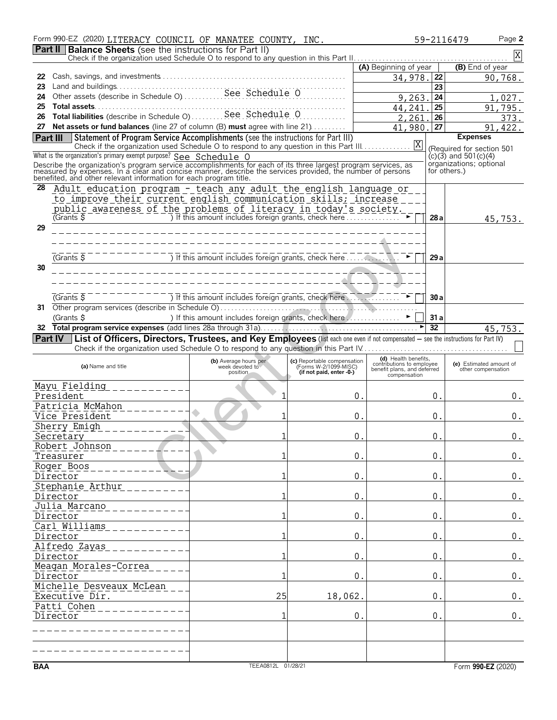|            | Form 990-EZ (2020) LITERACY COUNCIL OF MANATEE COUNTY, INC.                                                                                                                                                                  |                                                         |                                                   |                                                          |                 | Page 2<br>59-2116479                          |
|------------|------------------------------------------------------------------------------------------------------------------------------------------------------------------------------------------------------------------------------|---------------------------------------------------------|---------------------------------------------------|----------------------------------------------------------|-----------------|-----------------------------------------------|
|            | <b>Part II Balance Sheets</b> (see the instructions for Part II)                                                                                                                                                             |                                                         |                                                   |                                                          |                 | $\mathbf X$                                   |
|            |                                                                                                                                                                                                                              |                                                         |                                                   | (A) Beginning of year                                    |                 | (B) End of year                               |
| 22         |                                                                                                                                                                                                                              |                                                         |                                                   | 34,978.                                                  | 22              | 90,768.                                       |
| 23         |                                                                                                                                                                                                                              |                                                         |                                                   |                                                          | 23              |                                               |
| 24         |                                                                                                                                                                                                                              |                                                         |                                                   | 9,263.                                                   | 24              | 1,027.                                        |
| 25         |                                                                                                                                                                                                                              |                                                         |                                                   | 44,241                                                   | 25              | 91,795.                                       |
| 26         | Total liabilities (describe in Schedule O)  See Schedule O                                                                                                                                                                   |                                                         |                                                   | 2,261                                                    | $\overline{26}$ | 373.                                          |
| 27         | Net assets or fund balances (line 27 of column (B) must agree with line 21)                                                                                                                                                  |                                                         |                                                   | 41,980.                                                  | 27              | 91, 422.                                      |
| Part III   | Statement of Program Service Accomplishments (see the instructions for Part III)                                                                                                                                             |                                                         |                                                   |                                                          |                 | <b>Expenses</b>                               |
|            | Check if the organization used Schedule O to respond to any question in this Part III.                                                                                                                                       |                                                         |                                                   | X                                                        |                 | (Required for section 501                     |
|            | What is the organization's primary exempt purpose? See Schedule O                                                                                                                                                            |                                                         |                                                   |                                                          |                 | $(c)(3)$ and 501 $(c)(4)$                     |
|            | Describe the organization's program service accomplishments for each of its three largest program services, as<br>measured by expenses. In a clear and concise manner, describe the services provided, the number of persons |                                                         |                                                   |                                                          |                 | organizations; optional<br>for others.)       |
|            | benefited, and other relevant information for each program title.                                                                                                                                                            |                                                         |                                                   |                                                          |                 |                                               |
| 28         | <u> Adult education program - teach any adult the english language or</u>                                                                                                                                                    |                                                         |                                                   |                                                          |                 |                                               |
|            | to improve their current english communication skills; increase                                                                                                                                                              |                                                         |                                                   |                                                          |                 |                                               |
|            | <u>public awareness of the problems of literacy in today's society.</u>                                                                                                                                                      |                                                         |                                                   |                                                          |                 |                                               |
|            | $G$ Grants $\frac{1}{2}$                                                                                                                                                                                                     |                                                         |                                                   |                                                          | 28a             | 45,753.                                       |
| 29         |                                                                                                                                                                                                                              |                                                         |                                                   |                                                          |                 |                                               |
|            |                                                                                                                                                                                                                              |                                                         |                                                   |                                                          |                 |                                               |
|            |                                                                                                                                                                                                                              |                                                         |                                                   |                                                          |                 |                                               |
|            | $(Grants$ $\overline{S}$                                                                                                                                                                                                     |                                                         |                                                   |                                                          | 29a             |                                               |
| 30         |                                                                                                                                                                                                                              |                                                         | ______________                                    |                                                          |                 |                                               |
|            |                                                                                                                                                                                                                              |                                                         |                                                   |                                                          |                 |                                               |
|            |                                                                                                                                                                                                                              |                                                         |                                                   |                                                          |                 |                                               |
|            | $\overline{G}$ Grants $\overline{S}$                                                                                                                                                                                         |                                                         |                                                   |                                                          | 30a             |                                               |
| 31         |                                                                                                                                                                                                                              |                                                         |                                                   |                                                          |                 |                                               |
|            | (Grants \$                                                                                                                                                                                                                   | ) If this amount includes foreign grants, check here  ► |                                                   |                                                          | 31a             |                                               |
|            |                                                                                                                                                                                                                              |                                                         |                                                   |                                                          | $\overline{32}$ | 45,753.                                       |
|            | Part IV   List of Officers, Directors, Trustees, and Key Employees (list each one even if not compensated - see the instructions for Part IV)                                                                                |                                                         |                                                   |                                                          |                 |                                               |
|            |                                                                                                                                                                                                                              |                                                         |                                                   |                                                          |                 |                                               |
|            |                                                                                                                                                                                                                              | (b) Average hours per                                   | (c) Reportable compensation                       | (d) Health benefits.                                     |                 |                                               |
|            | (a) Name and title                                                                                                                                                                                                           | week devoted to<br>position                             | (Forms W-2/1099-MISC)<br>(if not paid, enter -0-) | contributions to employee<br>benefit plans, and deferred |                 | (e) Estimated amount of<br>other compensation |
|            |                                                                                                                                                                                                                              |                                                         |                                                   | compensation                                             |                 |                                               |
|            | Mayu Fielding                                                                                                                                                                                                                |                                                         |                                                   |                                                          |                 |                                               |
|            | President                                                                                                                                                                                                                    |                                                         | 0.                                                |                                                          | 0.              | 0.                                            |
|            | Patricia McMahon                                                                                                                                                                                                             |                                                         |                                                   |                                                          |                 |                                               |
|            | Vice President                                                                                                                                                                                                               |                                                         | 0.                                                |                                                          | 0.              | 0.                                            |
|            | Sherry Emigh                                                                                                                                                                                                                 |                                                         |                                                   |                                                          |                 |                                               |
|            | Secretary                                                                                                                                                                                                                    |                                                         | 0                                                 |                                                          | 0               | 0.                                            |
|            | Robert Johnson                                                                                                                                                                                                               |                                                         |                                                   |                                                          |                 |                                               |
|            | Treasurer                                                                                                                                                                                                                    |                                                         | $0$ .                                             |                                                          | 0.              | $\boldsymbol{0}$ .                            |
|            | Roger Boos                                                                                                                                                                                                                   |                                                         |                                                   |                                                          |                 |                                               |
|            | Director                                                                                                                                                                                                                     | 1                                                       | 0.                                                |                                                          | 0.              | $\boldsymbol{0}$ .                            |
|            | Stephanie Arthur                                                                                                                                                                                                             |                                                         |                                                   |                                                          |                 |                                               |
|            | Director                                                                                                                                                                                                                     | 1                                                       | 0.                                                |                                                          | 0.              | $\boldsymbol{0}$ .                            |
|            | Julia Marcano                                                                                                                                                                                                                |                                                         |                                                   |                                                          |                 |                                               |
|            | Director                                                                                                                                                                                                                     | 1                                                       | 0.                                                |                                                          | 0.              | $0$ .                                         |
|            | Carl Williams                                                                                                                                                                                                                |                                                         |                                                   |                                                          |                 |                                               |
|            | Director                                                                                                                                                                                                                     | 1                                                       | 0.                                                |                                                          | 0.              | 0.                                            |
|            | Alfredo Zayas                                                                                                                                                                                                                |                                                         |                                                   |                                                          |                 |                                               |
|            | Director                                                                                                                                                                                                                     | 1                                                       | 0.                                                |                                                          | 0.              | 0.                                            |
|            | Meagan Morales-Correa                                                                                                                                                                                                        |                                                         |                                                   |                                                          |                 |                                               |
|            | Director                                                                                                                                                                                                                     |                                                         | 0.                                                |                                                          | 0.              | $\boldsymbol{0}$ .                            |
|            | Michelle Desveaux McLean                                                                                                                                                                                                     |                                                         |                                                   |                                                          |                 |                                               |
|            | Executive Dir.                                                                                                                                                                                                               | 25                                                      | 18,062.                                           |                                                          | 0.              | $\boldsymbol{0}$ .                            |
|            | Patti Cohen                                                                                                                                                                                                                  |                                                         |                                                   |                                                          |                 |                                               |
|            | Director                                                                                                                                                                                                                     | 1                                                       | 0.                                                |                                                          | 0.              | 0.                                            |
|            |                                                                                                                                                                                                                              |                                                         |                                                   |                                                          |                 |                                               |
|            |                                                                                                                                                                                                                              |                                                         |                                                   |                                                          |                 |                                               |
|            |                                                                                                                                                                                                                              |                                                         |                                                   |                                                          |                 |                                               |
|            |                                                                                                                                                                                                                              |                                                         |                                                   |                                                          |                 |                                               |
| <b>BAA</b> |                                                                                                                                                                                                                              | TEEA0812L 01/28/21                                      |                                                   |                                                          |                 | Form 990-EZ (2020)                            |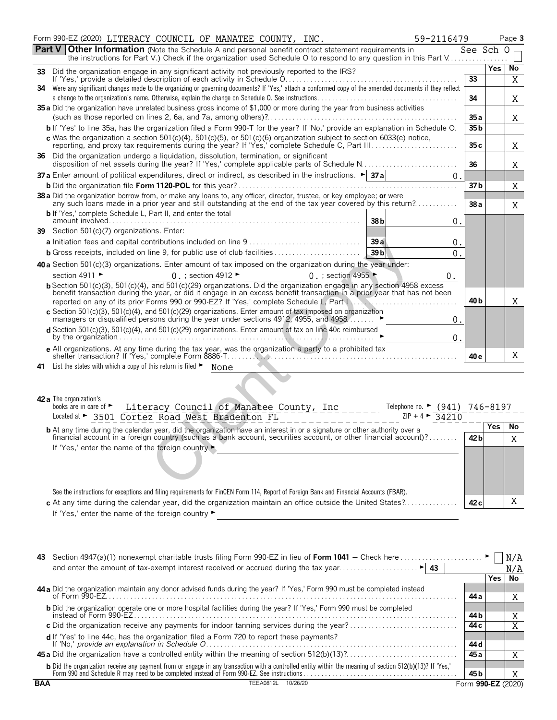| Form 990-EZ (2020) LITERACY COUNCIL OF MANATEE COUNTY, INC.<br>59-2116479                                                                                                                                                                                  |                 |            | Page 3 |
|------------------------------------------------------------------------------------------------------------------------------------------------------------------------------------------------------------------------------------------------------------|-----------------|------------|--------|
| Part V<br><b>Other Information</b> (Note the Schedule A and personal benefit contract statement requirements in                                                                                                                                            | See Sch O       |            |        |
|                                                                                                                                                                                                                                                            |                 | <b>Yes</b> | No     |
|                                                                                                                                                                                                                                                            | 33              |            | X      |
| 34 Were any significant changes made to the organizing or governing documents? If 'Yes,' attach a conformed copy of the amended documents if they reflect                                                                                                  |                 |            |        |
|                                                                                                                                                                                                                                                            | 34              |            | Χ      |
| 35 a Did the organization have unrelated business gross income of \$1,000 or more during the year from business activities                                                                                                                                 | 35 a            |            | Χ      |
| b If 'Yes' to line 35a, has the organization filed a Form 990-T for the year? If 'No,' provide an explanation in Schedule O.                                                                                                                               | 35 <sub>b</sub> |            |        |
|                                                                                                                                                                                                                                                            |                 |            |        |
| c Was the organization a section 501(c)(4), 501(c)(5), or 501(c)(6) organization subject to section 6033(e) notice, reporting, and proxy tax requirements during the year? If 'Yes,' complete Schedule C, Part III                                         | 35c             |            | Χ      |
| 36 Did the organization undergo a liquidation, dissolution, termination, or significant<br>disposition of net assets during the year? If 'Yes,' complete applicable parts of Schedule N                                                                    | 36              |            | Χ      |
| 37 a Enter amount of political expenditures, direct or indirect, as described in the instructions. $\blacktriangleright$ 37 a<br>0.                                                                                                                        |                 |            |        |
|                                                                                                                                                                                                                                                            | 37b             |            | Χ      |
| 38 a Did the organization borrow from, or make any loans to, any officer, director, trustee, or key employee; or were<br>any such loans made in a prior year and still outstanding at the end of the tax year covered by this return?                      |                 |            |        |
| <b>b</b> If 'Yes,' complete Schedule L, Part II, and enter the total                                                                                                                                                                                       | 38a             |            | Χ      |
| 38b<br>0.                                                                                                                                                                                                                                                  |                 |            |        |
| 39 Section 501(c)(7) organizations. Enter:                                                                                                                                                                                                                 |                 |            |        |
| 39a<br>0.                                                                                                                                                                                                                                                  |                 |            |        |
| 39 <sub>b</sub><br><b>b</b> Gross receipts, included on line 9, for public use of club facilities<br>0.                                                                                                                                                    |                 |            |        |
| 40 a Section 501(c)(3) organizations. Enter amount of tax imposed on the organization during the year under:                                                                                                                                               |                 |            |        |
| section 4911 ►<br>$0.$ ; section 4912 $\blacktriangleright$<br>0. ; section 4955<br>0.                                                                                                                                                                     |                 |            |        |
| b Section 501(c)(3), 501(c)(4), and 501(c)(29) organizations. Did the organization engage in any section 4958 excess<br>benefit transaction during the year, or did it engage in an excess benefit transaction in a prior year that has not been           |                 |            |        |
|                                                                                                                                                                                                                                                            | 40 b            |            | Χ      |
| c Section 501(c)(3), 501(c)(4), and 501(c)(29) organizations. Enter amount of tax imposed on organization managers or disqualified persons during the year under sections 4912, 4955, and 4958                                                             |                 |            |        |
| 0.                                                                                                                                                                                                                                                         |                 |            |        |
| d Section 501(c)(3), 501(c)(4), and 501(c)(29) organizations. Enter amount of tax on line 40c reimbursed<br>by the organization $\ldots$ $\ldots$ $\ldots$ $\ldots$ $\ldots$ $\ldots$ $\ldots$ $\ldots$ $\ldots$ $\ldots$ $\ldots$ $\ldots$ $\ldots$<br>0. |                 |            |        |
| e All organizations. At any time during the tax year, was the organization a party to a prohibited tax                                                                                                                                                     |                 |            |        |
|                                                                                                                                                                                                                                                            | 40 e            |            | Χ      |
| 41 List the states with which a copy of this return is filed > None                                                                                                                                                                                        |                 |            |        |
|                                                                                                                                                                                                                                                            |                 |            |        |
|                                                                                                                                                                                                                                                            |                 |            |        |
| 42 a The organization's                                                                                                                                                                                                                                    |                 |            |        |
| books are in care of ►<br>Literacy Council of Manatee County, Inc______.<br>Telephone no. $\blacktriangleright$ (941) 746-8197<br>Located at > 3501 Cortez Road West Bradenton FL<br>$ZIP + 4$<br>34210                                                    |                 |            |        |
|                                                                                                                                                                                                                                                            |                 | <b>Yes</b> | No     |
| <b>b</b> At any time during the calendar year, did the organization have an interest in or a signature or other authority over a<br>financial account in a foreign country (such as a bank account, securities account, or other financial account)?       | 42 b            |            | X      |
| If 'Yes,' enter the name of the foreign country ►                                                                                                                                                                                                          |                 |            |        |
|                                                                                                                                                                                                                                                            |                 |            |        |
|                                                                                                                                                                                                                                                            |                 |            |        |
|                                                                                                                                                                                                                                                            |                 |            |        |
|                                                                                                                                                                                                                                                            |                 |            |        |

| Lucatou at<br>3301 COLLEZ ROAU MESL DIAUENCON IL                                                                                 | $\sqrt{11}$ $\sqrt{11}$ | $.34$ / $.1V$ |  |    |
|----------------------------------------------------------------------------------------------------------------------------------|-------------------------|---------------|--|----|
| <b>b</b> At any time during the calendar year, did the organization have an interest in or a signature or other authority over a |                         |               |  | No |
| financial account in a foreign country (such as a bank account, securities account, or other financial account)?                 |                         | 42 b          |  | X  |
| If 'Yes,' enter the name of the foreign country                                                                                  |                         |               |  |    |

**c** At any time during the calendar year, did the organization maintain an office outside the United States?. . . . . . . . . . . . . . . **42 c**

See the instructions for exceptions and filing requirements for FinCEN Form 114, Report of Foreign Bank and Financial Accounts (FBAR).

If 'Yes,' enter the name of the foreign country  $\blacktriangleright$ 

|     | 43 Section 4947(a)(1) nonexempt charitable trusts filing Form 990-EZ in lieu of Form 1041 – Check here                                                                                                                            |                    |       | N/A |
|-----|-----------------------------------------------------------------------------------------------------------------------------------------------------------------------------------------------------------------------------------|--------------------|-------|-----|
|     |                                                                                                                                                                                                                                   |                    |       | N/A |
|     |                                                                                                                                                                                                                                   |                    | Yes I | No  |
|     | 44 a Did the organization maintain any donor advised funds during the year? If 'Yes,' Form 990 must be completed instead                                                                                                          | 44 a               |       | Χ   |
|     | <b>b</b> Did the organization operate one or more hospital facilities during the year? If 'Yes,' Form 990 must be completed                                                                                                       | 44 b               |       | X   |
|     | c Did the organization receive any payments for indoor tanning services during the year?                                                                                                                                          | 44 c               |       |     |
|     | <b>d</b> If 'Yes' to line 44c, has the organization filed a Form 720 to report these payments?                                                                                                                                    | 44 d               |       |     |
|     |                                                                                                                                                                                                                                   | 45 a               |       | Χ   |
|     | b Did the organization receive any payment from or engage in any transaction with a controlled entity within the meaning of section 512(b)(13)? If 'Yes,'<br>Form 990 and Schedule R may need to be completed instead of Form 990 | 45 b               |       |     |
| BAA | <b>TEEA0812L</b><br>10/26/20                                                                                                                                                                                                      | Form 990-EZ (2020) |       |     |

X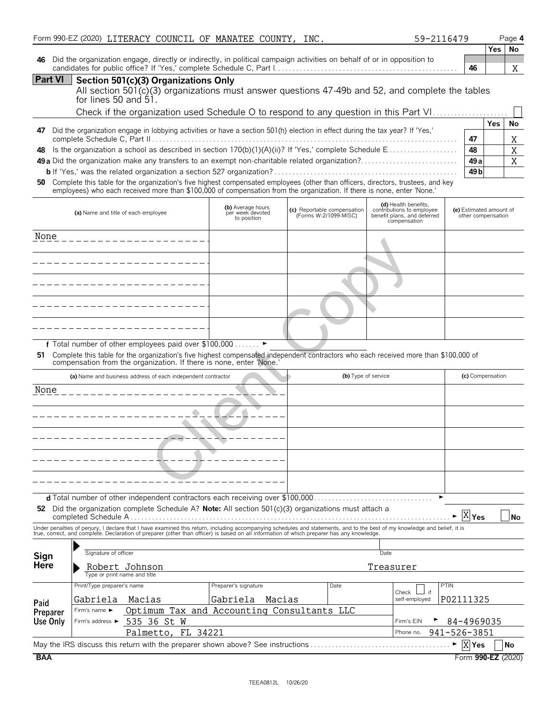|                  | Form 990-EZ (2020) LITERACY COUNCIL OF MANATEE COUNTY, INC.                                                                                                                                                                                                                                                              |                                                                        |                                                      | 59-2116479                                               |                                               |              | Page 4   |  |
|------------------|--------------------------------------------------------------------------------------------------------------------------------------------------------------------------------------------------------------------------------------------------------------------------------------------------------------------------|------------------------------------------------------------------------|------------------------------------------------------|----------------------------------------------------------|-----------------------------------------------|--------------|----------|--|
|                  |                                                                                                                                                                                                                                                                                                                          |                                                                        |                                                      |                                                          |                                               |              | Yes   No |  |
| 46               | Did the organization engage, directly or indirectly, in political campaign activities on behalf of or in opposition to                                                                                                                                                                                                   |                                                                        |                                                      |                                                          | 46                                            |              |          |  |
| <b>Part VI</b>   | Section 501(c)(3) Organizations Only                                                                                                                                                                                                                                                                                     |                                                                        |                                                      |                                                          |                                               |              | Χ        |  |
|                  | All section $501(c)(3)$ organizations must answer questions 47-49b and 52, and complete the tables                                                                                                                                                                                                                       |                                                                        |                                                      |                                                          |                                               |              |          |  |
|                  | for lines 50 and $51.$                                                                                                                                                                                                                                                                                                   |                                                                        |                                                      |                                                          |                                               |              |          |  |
|                  | Check if the organization used Schedule O to respond to any question in this Part VI                                                                                                                                                                                                                                     |                                                                        |                                                      |                                                          |                                               |              |          |  |
|                  |                                                                                                                                                                                                                                                                                                                          |                                                                        |                                                      |                                                          |                                               | Yes          | No       |  |
| 47               | Did the organization engage in lobbying activities or have a section 501(h) election in effect during the tax year? If 'Yes,'                                                                                                                                                                                            |                                                                        |                                                      |                                                          | 47                                            |              | Χ        |  |
| 48               | Is the organization a school as described in section 170(b)(1)(A)(ii)? If 'Yes,' complete Schedule E                                                                                                                                                                                                                     |                                                                        |                                                      |                                                          | 48                                            |              | X        |  |
|                  |                                                                                                                                                                                                                                                                                                                          |                                                                        |                                                      |                                                          | 49 a                                          |              | X        |  |
|                  |                                                                                                                                                                                                                                                                                                                          |                                                                        |                                                      |                                                          | 49 <sub>b</sub>                               |              |          |  |
| 50               | Complete this table for the organization's five highest compensated employees (other than officers, directors, trustees, and key<br>employees) who each received more than \$100,000 of compensation from the organization. If there is none, enter 'None.'                                                              |                                                                        |                                                      |                                                          |                                               |              |          |  |
|                  |                                                                                                                                                                                                                                                                                                                          | (b) Average hours                                                      |                                                      | (d) Health benefits,                                     |                                               |              |          |  |
|                  | (a) Name and title of each employee                                                                                                                                                                                                                                                                                      | per week devoted<br>to position                                        | (c) Reportable compensation<br>(Forms W-2/1099-MISC) | contributions to employee<br>benefit plans, and deferred | (e) Estimated amount of<br>other compensation |              |          |  |
|                  |                                                                                                                                                                                                                                                                                                                          |                                                                        |                                                      | compensation                                             |                                               |              |          |  |
| None             | --------------------                                                                                                                                                                                                                                                                                                     |                                                                        |                                                      |                                                          |                                               |              |          |  |
|                  |                                                                                                                                                                                                                                                                                                                          |                                                                        |                                                      |                                                          |                                               |              |          |  |
|                  | ___________________                                                                                                                                                                                                                                                                                                      |                                                                        |                                                      |                                                          |                                               |              |          |  |
|                  |                                                                                                                                                                                                                                                                                                                          |                                                                        |                                                      |                                                          |                                               |              |          |  |
|                  | --------------------                                                                                                                                                                                                                                                                                                     |                                                                        |                                                      |                                                          |                                               |              |          |  |
|                  | __________________                                                                                                                                                                                                                                                                                                       |                                                                        |                                                      |                                                          |                                               |              |          |  |
|                  |                                                                                                                                                                                                                                                                                                                          |                                                                        |                                                      |                                                          |                                               |              |          |  |
|                  | ___________________                                                                                                                                                                                                                                                                                                      |                                                                        |                                                      |                                                          |                                               |              |          |  |
|                  |                                                                                                                                                                                                                                                                                                                          |                                                                        |                                                      |                                                          |                                               |              |          |  |
| 51               | f Total number of other employees paid over \$100,000 ▶                                                                                                                                                                                                                                                                  |                                                                        |                                                      |                                                          |                                               |              |          |  |
|                  | Complete this table for the organization's five highest compensated independent contractors who each received more than \$100,000 of compensation from the organization. If there is none, enter 'None.'                                                                                                                 |                                                                        |                                                      |                                                          |                                               |              |          |  |
|                  | (a) Name and business address of each independent contractor                                                                                                                                                                                                                                                             |                                                                        |                                                      | (b) Type of service                                      | (c) Compensation                              |              |          |  |
|                  | None ________________                                                                                                                                                                                                                                                                                                    |                                                                        |                                                      |                                                          |                                               |              |          |  |
|                  |                                                                                                                                                                                                                                                                                                                          |                                                                        |                                                      |                                                          |                                               |              |          |  |
|                  |                                                                                                                                                                                                                                                                                                                          |                                                                        |                                                      |                                                          |                                               |              |          |  |
|                  |                                                                                                                                                                                                                                                                                                                          |                                                                        |                                                      |                                                          |                                               |              |          |  |
|                  |                                                                                                                                                                                                                                                                                                                          |                                                                        |                                                      |                                                          |                                               |              |          |  |
|                  |                                                                                                                                                                                                                                                                                                                          |                                                                        |                                                      |                                                          |                                               |              |          |  |
|                  |                                                                                                                                                                                                                                                                                                                          |                                                                        |                                                      |                                                          |                                               |              |          |  |
|                  |                                                                                                                                                                                                                                                                                                                          |                                                                        |                                                      |                                                          |                                               |              |          |  |
|                  |                                                                                                                                                                                                                                                                                                                          |                                                                        |                                                      |                                                          |                                               |              |          |  |
|                  |                                                                                                                                                                                                                                                                                                                          |                                                                        |                                                      |                                                          |                                               |              |          |  |
|                  | 52 Did the organization complete Schedule A? Note: All section $501(c)(3)$ organizations must attach a                                                                                                                                                                                                                   |                                                                        |                                                      |                                                          |                                               |              |          |  |
|                  |                                                                                                                                                                                                                                                                                                                          |                                                                        |                                                      |                                                          | $X$ Yes                                       |              | No       |  |
|                  | Under penalties of perjury, I declare that I have examined this return, including accompanying schedules and statements, and to the best of my knowledge and belief, it is<br>true, correct, and complete. Declaration of preparer (other than officer) is based on all information of which preparer has any knowledge. |                                                                        |                                                      |                                                          |                                               |              |          |  |
|                  |                                                                                                                                                                                                                                                                                                                          |                                                                        |                                                      |                                                          |                                               |              |          |  |
| Sign             | Signature of officer                                                                                                                                                                                                                                                                                                     |                                                                        |                                                      | Date                                                     |                                               |              |          |  |
| <b>Here</b>      | Robert Johnson<br>Type or print name and title                                                                                                                                                                                                                                                                           |                                                                        |                                                      | Treasurer                                                |                                               |              |          |  |
|                  | Print/Type preparer's name                                                                                                                                                                                                                                                                                               | Preparer's signature                                                   | Date                                                 |                                                          | PTIN                                          |              |          |  |
|                  | Gabriela<br>Macias                                                                                                                                                                                                                                                                                                       | Gabriela<br>Macias                                                     |                                                      | Check<br>self-employed                                   | P02111325                                     |              |          |  |
| Paid<br>Preparer | Firm's name ►                                                                                                                                                                                                                                                                                                            |                                                                        |                                                      |                                                          |                                               |              |          |  |
| <b>Use Only</b>  | 535 36 St W<br>Firm's address ►                                                                                                                                                                                                                                                                                          | Optimum Tax and Accounting Consultants LLC<br>84-4969035<br>Firm's EIN |                                                      |                                                          |                                               |              |          |  |
|                  | Palmetto, FL 34221<br>Phone no.                                                                                                                                                                                                                                                                                          |                                                                        |                                                      |                                                          |                                               | 941-526-3851 |          |  |
|                  | May the IRS discuss this return with the preparer shown above? See instructions                                                                                                                                                                                                                                          |                                                                        |                                                      |                                                          | $\overline{X}$ Yes                            |              | No       |  |

| BAA | Form <b>990-EZ</b><br>(2020) |
|-----|------------------------------|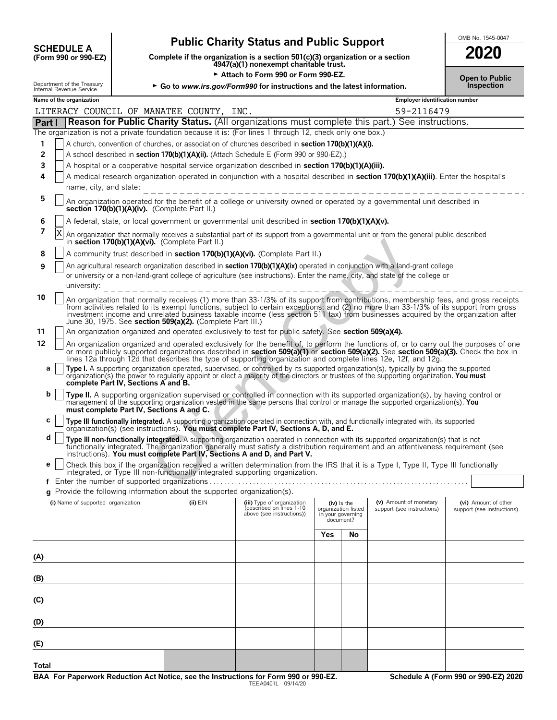| <b>SCHEDULE A</b>                   |  |
|-------------------------------------|--|
| $(F_{\rm O}r_{\rm m}$ 990 or 990.FZ |  |

# **Public Charity Status and Public Support**  $\frac{\text{OMB NO. 1545-0047}}{2222}$

**Complete if the organization is a section 501(c)(3) organization or a section 4947(a)(1) nonexempt charitable trust.**

■ Attach to Form 990 or Form 990-EZ.<br>The pow/Form990 for instructions and the latest information. Department of the Treasury **Co to** *www.irs.gov/Form990* for instructions and the latest information.

| 2020                  |  |
|-----------------------|--|
| <b>Open to Public</b> |  |

**Name of the organization Employer identification number Part I Reason for Public Charity Status.** (All organizations must complete this part.) See instructions. The organization is not a private foundation because it is: (For lines 1 through 12, check only one box.) **1** A church, convention of churches, or association of churches described in **section 170(b)(1)(A)(i). 2** A school described in **section 170(b)(1)(A)(ii).** (Attach Schedule E (Form 990 or 990-EZ).) **3** A hospital or a cooperative hospital service organization described in **section 170(b)(1)(A)(iii). 4** A medical research organization operated in conjunction with a hospital described in **section 170(b)(1)(A)(iii)**. Enter the hospital's name, city, and state: **5** An organization operated for the benefit of a college or university owned or operated by a governmental unit described in **section 170(b)(1)(A)(iv).** (Complete Part II.) **6** A federal, state, or local government or governmental unit described in **section 170(b)(1)(A)(v). 7 X** An organization that normally receives a substantial part of its support from a governmental unit or from the general public described in **section 170(b)(1)(A)(vi).** (Complete Part II.) **8** A community trust described in **section 170(b)(1)(A)(vi).** (Complete Part II.) **9** An agricultural research organization described in **section 170(b)(1)(A)(ix)** operated in conjunction with a land-grant college or university or a non-land-grant college of agriculture (see instructions). Enter the name, city, and state of the college or university: **10** An organization that normally receives (1) more than 33-1/3% of its support from contributions, membership fees, and gross receipts from activities related to its exempt functions, subject to certain exceptions; and (2) no more than 33-1/3% of its support from gross<br>investment income and unrelated business taxable income (less section 511 tax) from bus June 30, 1975. See **section 509(a)(2).** (Complete Part III.) **11** An organization organized and operated exclusively to test for public safety. See **section 509(a)(4).** 12 An organization organized and operated exclusively for the benefit of, to perform the functions of, or to carry out the purposes of one or more publicly supported organizations described in **section 509(a)(1)** or **section 509(a)(2).** See **section 509(a)(3).** Check the box in lines 12a through 12d that describes the type of supporting organization and complete lines 12e, 12f, and 12g. **a |** Type I. A supporting organization operated, supervised, or controlled by its supported organization(s), typically by giving the supported organization(s) the power to regularly appoint or elect a majority of the directors or trustees of the supporting organization. **You must complete Part IV, Sections A and B. b Type II.** A supporting organization supervised or controlled in connection with its supported organization(s), by having control or management of the supporting organization vested in the same persons that control or manage the supported organization(s). **You must complete Part IV, Sections A and C. c Type III functionally integrated.** A supporting organization operated in connection with, and functionally integrated with, its supported organization(s) (see instructions). **You must complete Part IV, Sections A, D, and E. d Type III non-functionally integrated.** A supporting organization operated in connection with its supported organization(s) that is not functionally integrated. The organization generally must satisfy a distribution requirement and an attentiveness requirement (see instructions). **You must complete Part IV, Sections A and D, and Part V. e** | Check this box if the organization received a written determination from the IRS that it is a Type I, Type II, Type III functionally integrated, or Type III non-functionally integrated supporting organization. **f** Enter the number of supported organizations. . . . . . . . . . . . . . . . . . . . . . . . . . . . . . . . . . . . . . . . . . . . . . . . . . . . . . . . . . . . . . . . . . . . . . . . . **g** Provide the following information about the supported organization(s). **(i)** Name of supported organization **(ii)** EIN **(iii)** Type of organization **(iv)** Is the **(v)** Amount of monetary **(vi)** Amount of other **(iii)** Type of organization listed **conducts** support (see instructions) **(iiii)** (described on lines 1-10 organization listed support (see instructions) support (see instructions) above (see instructions)) in your governing document? **Yes No (A) (B) (C) (D) (E)** LITERACY COUNCIL OF MANATEE COUNTY, INC.  $\sim$  59-2116479 X i). (Complete Part II.)<br>
ibed in section 170(b)(1)(A)(vi). (Complete Part II.)<br>
grapnization described in section 170(b)(1)(A)(A)(ki) operated in conjunction with a land-grapnization described in section 170(b)(1)(A)(Kix)

**Total**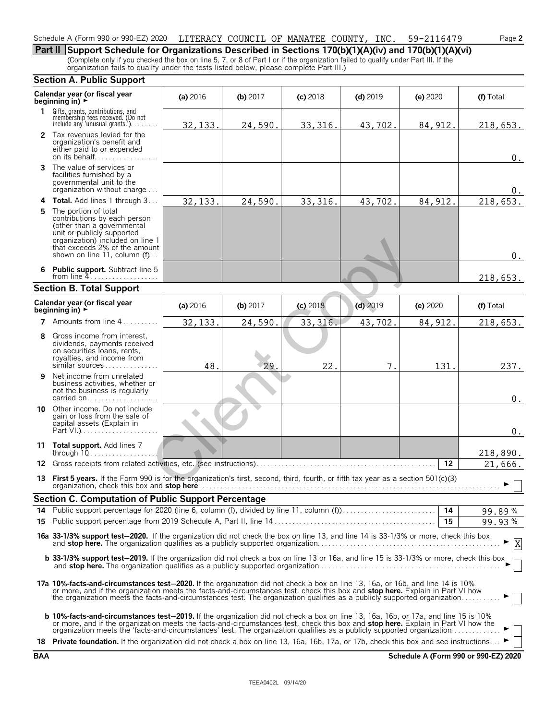# Schedule A (Form 990 or 990-EZ) 2020 LITERACY COUNCIL OF MANATEE COUNTY, INC. 59-2116479 Page **2**

**Part II Support Schedule for Organizations Described in Sections 170(b)(1)(A)(iv) and 170(b)(1)(A)(vi)** (Complete only if you checked the box on line 5, 7, or 8 of Part I or if the organization failed to qualify under Part III. If the organization fails to qualify under the tests listed below, please complete Part III.)

|              | <b>Section A. Public Support</b>                                                                                                                                                                                                                                                                                                                                                                        |          |          |            |            |          |              |
|--------------|---------------------------------------------------------------------------------------------------------------------------------------------------------------------------------------------------------------------------------------------------------------------------------------------------------------------------------------------------------------------------------------------------------|----------|----------|------------|------------|----------|--------------|
|              | Calendar year (or fiscal year<br>beginning in) $\rightarrow$                                                                                                                                                                                                                                                                                                                                            | (a) 2016 | (b) 2017 | $(c)$ 2018 | $(d)$ 2019 | (e) 2020 | (f) Total    |
| $\mathbf{1}$ | Gifts, grants, contributions, and<br>membership fees received. (Do not<br>include any 'unusual grants.'). $\dots$                                                                                                                                                                                                                                                                                       | 32, 133. | 24,590   | 33, 316.   | 43,702.    | 84, 912. | 218,653.     |
|              | 2 Tax revenues levied for the<br>organization's benefit and<br>either paid to or expended<br>on its behalf                                                                                                                                                                                                                                                                                              |          |          |            |            |          | $0$ .        |
| 3            | The value of services or<br>facilities furnished by a<br>governmental unit to the<br>organization without charge                                                                                                                                                                                                                                                                                        |          |          |            |            |          | $0$ .        |
| 4            | Total. Add lines 1 through 3                                                                                                                                                                                                                                                                                                                                                                            | 32, 133. | 24,590   | 33, 316.   | 43,702.    | 84, 912. | 218,653.     |
| 5            | The portion of total<br>contributions by each person<br>(other than a governmental<br>unit or publicly supported<br>organization) included on line 1<br>that exceeds 2% of the amount<br>shown on line 11, column (f)                                                                                                                                                                                   |          |          |            |            |          | $0_{.}$      |
| 6            | <b>Public support.</b> Subtract line 5<br>from line $4$                                                                                                                                                                                                                                                                                                                                                 |          |          |            |            |          | 218,653.     |
|              | <b>Section B. Total Support</b>                                                                                                                                                                                                                                                                                                                                                                         |          |          |            |            |          |              |
|              | Calendar year (or fiscal year<br>beginning in) $\rightarrow$                                                                                                                                                                                                                                                                                                                                            | (a) 2016 | (b) 2017 | $(c)$ 2018 | $(d)$ 2019 | (e) 2020 | (f) Total    |
| 7            | Amounts from line 4                                                                                                                                                                                                                                                                                                                                                                                     | 32, 133. | 24,590.  | 33, 316.   | 43,702.    | 84, 912. | 218,653.     |
| 8            | Gross income from interest.<br>dividends, payments received<br>on securities loans, rents,<br>royalties, and income from<br>similar sources                                                                                                                                                                                                                                                             | 48       | 29.      | 22.        | 7.         | 131.     | 237.         |
| 9            | Net income from unrelated<br>business activities, whether or<br>not the business is regularly<br>carried on                                                                                                                                                                                                                                                                                             |          |          |            |            |          | $0$ .        |
|              | <b>10</b> Other income. Do not include<br>gain or loss from the sale of<br>capital assets (Explain in<br>Part $V1.$ )                                                                                                                                                                                                                                                                                   |          |          |            |            |          | $0$ .        |
| 11           | Total support. Add lines 7<br>through $10$                                                                                                                                                                                                                                                                                                                                                              |          |          |            |            |          | 218,890.     |
| 12           | Gross receipts from related activities, etc. (see instructions)                                                                                                                                                                                                                                                                                                                                         |          |          |            |            | 12       | 21,666.      |
| 13           | First 5 years. If the Form 990 is for the organization's first, second, third, fourth, or fifth tax year as a section 501(c)(3)                                                                                                                                                                                                                                                                         |          |          |            |            |          |              |
|              | Section C. Computation of Public Support Percentage                                                                                                                                                                                                                                                                                                                                                     |          |          |            |            |          |              |
|              | 14 Public support percentage for 2020 (line 6, column (f), divided by line 11, column (f)                                                                                                                                                                                                                                                                                                               |          |          |            |            | 14       | 99.89%       |
|              |                                                                                                                                                                                                                                                                                                                                                                                                         |          |          |            |            | 15       | 99.93%       |
|              | 16a 33-1/3% support test-2020. If the organization did not check the box on line 13, and line 14 is 33-1/3% or more, check this box                                                                                                                                                                                                                                                                     |          |          |            |            |          | $\mathbf{X}$ |
|              | <b>b 33-1/3% support test-2019.</b> If the organization did not check a box on line 13 or 16a, and line 15 is 33-1/3% or more, check this box                                                                                                                                                                                                                                                           |          |          |            |            |          |              |
|              | 17a 10%-facts-and-circumstances test-2020. If the organization did not check a box on line 13, 16a, or 16b, and line 14 is 10%<br>or more, and if the organization meets the facts-and-circumstances test, check this box and stop here. Explain in Part VI how<br>the organization meets the facts-and-circumstances test. The organization qualifies as a publicly supported organization             |          |          |            |            |          |              |
|              | <b>b 10%-facts-and-circumstances test-2019.</b> If the organization did not check a box on line 13, 16a, 16b, or 17a, and line 15 is 10%<br>or more, and if the organization meets the facts-and-circumstances test, check this box and stop here. Explain in Part VI how the<br>organization meets the 'facts-and-circumstances' test. The organization qualifies as a publicly supported organization |          |          |            |            |          |              |
|              | 18 Private foundation. If the organization did not check a box on line 13, 16a, 16b, 17a, or 17b, check this box and see instructions                                                                                                                                                                                                                                                                   |          |          |            |            |          |              |

**BAA Schedule A (Form 990 or 990-EZ) 2020**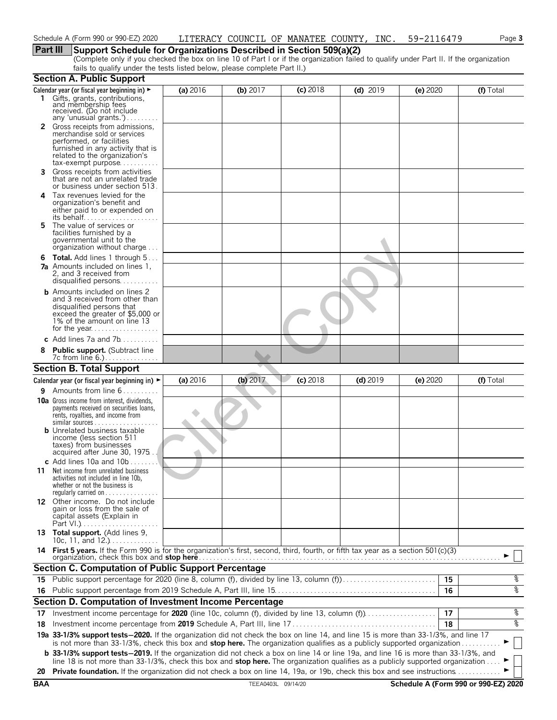# **Part III Support Schedule for Organizations Described in Section 509(a)(2)**

(Complete only if you checked the box on line 10 of Part I or if the organization failed to qualify under Part II. If the organization fails to qualify under the tests listed below, please complete Part II.)

|            | <b>Section A. Public Support</b>                                                                                                                                                                                                                                              |          |                    |            |            |            |                                      |
|------------|-------------------------------------------------------------------------------------------------------------------------------------------------------------------------------------------------------------------------------------------------------------------------------|----------|--------------------|------------|------------|------------|--------------------------------------|
|            | Calendar year (or fiscal year beginning in) ►<br>1 Gifts, grants, contributions,<br>and membership fees<br>received. (Do not include                                                                                                                                          | (a) 2016 | (b) $2017$         | $(c)$ 2018 | $(d)$ 2019 | $(e)$ 2020 | (f) Total                            |
|            | any 'unusual grants.')                                                                                                                                                                                                                                                        |          |                    |            |            |            |                                      |
|            | 2 Gross receipts from admissions,<br>merchandise sold or services<br>performed, or facilities<br>furnished in any activity that is<br>related to the organization's<br>$tax\text{-}exempt$ purpose                                                                            |          |                    |            |            |            |                                      |
| 3.         | Gross receipts from activities<br>that are not an unrelated trade<br>or business under section 513.                                                                                                                                                                           |          |                    |            |            |            |                                      |
| 4          | Tax revenues levied for the<br>organization's benefit and<br>either paid to or expended on<br>its behalf                                                                                                                                                                      |          |                    |            |            |            |                                      |
| 5.         | The value of services or<br>facilities furnished by a<br>governmental unit to the<br>organization without charge                                                                                                                                                              |          |                    |            |            |            |                                      |
| 6          | <b>Total.</b> Add lines 1 through 5<br><b>7a</b> Amounts included on lines 1,<br>2, and 3 received from<br>disqualified persons                                                                                                                                               |          |                    |            |            |            |                                      |
|            | <b>b</b> Amounts included on lines 2<br>and 3 received from other than<br>disqualified persons that<br>exceed the greater of \$5,000 or<br>1% of the amount on line 13                                                                                                        |          |                    |            |            |            |                                      |
|            | c Add lines $7a$ and $7b$                                                                                                                                                                                                                                                     |          |                    |            |            |            |                                      |
|            | <b>Public support.</b> (Subtract line                                                                                                                                                                                                                                         |          |                    |            |            |            |                                      |
|            | <b>Section B. Total Support</b>                                                                                                                                                                                                                                               |          |                    |            |            |            |                                      |
|            | Calendar year (or fiscal year beginning in) $\blacktriangleright$                                                                                                                                                                                                             | (a) 2016 | (b) 2017           | $(c)$ 2018 | $(d)$ 2019 | (e) 2020   | (f) Total                            |
| 9          | Amounts from line 6                                                                                                                                                                                                                                                           |          |                    |            |            |            |                                      |
|            | <b>10a</b> Gross income from interest, dividends,<br>payments received on securities loans,<br>rents, royalties, and income from<br>similar sources<br><b>b</b> Unrelated business taxable                                                                                    |          |                    |            |            |            |                                      |
|            | income (less section 511<br>taxes) from businesses<br>acquired after June 30, 1975<br>c Add lines 10a and $10b$                                                                                                                                                               |          |                    |            |            |            |                                      |
| 11         | Net income from unrelated business<br>activities not included in line 10b,<br>whether or not the business is<br>regularly carried on $\dots\dots\dots\dots$                                                                                                                   |          |                    |            |            |            |                                      |
|            | 12 Other income. Do not include<br>gain or loss from the sale of<br>capital assets (Explain in                                                                                                                                                                                |          |                    |            |            |            |                                      |
|            | 13 Total support. (Add lines 9,<br>10c, 11, and $12$                                                                                                                                                                                                                          |          |                    |            |            |            |                                      |
|            | 14 First 5 years. If the Form 990 is for the organization's first, second, third, fourth, or fifth tax year as a section 501(c)(3)<br>organization, check this box and stop here                                                                                              |          |                    |            |            |            |                                      |
|            | <b>Section C. Computation of Public Support Percentage</b>                                                                                                                                                                                                                    |          |                    |            |            |            |                                      |
|            | 15 Public support percentage for 2020 (line 8, column (f), divided by line 13, column (f)                                                                                                                                                                                     |          |                    |            |            | 15         | န့                                   |
|            |                                                                                                                                                                                                                                                                               |          |                    |            |            | 16         | ०७                                   |
|            | Section D. Computation of Investment Income Percentage                                                                                                                                                                                                                        |          |                    |            |            |            |                                      |
| 17         |                                                                                                                                                                                                                                                                               |          |                    |            |            | 17         | %                                    |
| 18         |                                                                                                                                                                                                                                                                               |          |                    |            |            | 18         | ०७                                   |
|            | 19a 33-1/3% support tests-2020. If the organization did not check the box on line 14, and line 15 is more than 33-1/3%, and line 17<br>is not more than 33-1/3%, check this box and stop here. The organization qualifies as a publicly supported organization                |          |                    |            |            |            |                                      |
|            | <b>b</b> 33-1/3% support tests-2019. If the organization did not check a box on line 14 or line 19a, and line 16 is more than 33-1/3%, and<br>line 18 is not more than 33-1/3%, check this box and stop here. The organization qualifies as a publicly supported organization |          |                    |            |            |            |                                      |
| 20         | Private foundation. If the organization did not check a box on line 14, 19a, or 19b, check this box and see instructions.                                                                                                                                                     |          |                    |            |            |            |                                      |
| <b>BAA</b> |                                                                                                                                                                                                                                                                               |          | TEEA0403L 09/14/20 |            |            |            | Schedule A (Form 990 or 990-EZ) 2020 |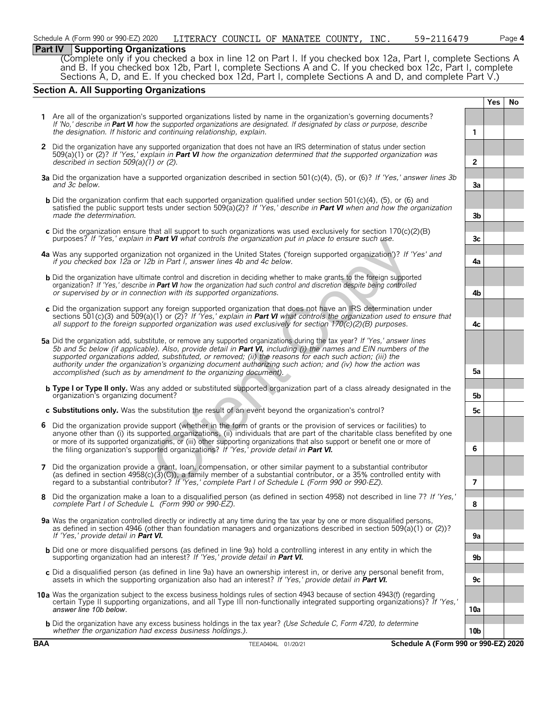# **Part IV Supporting Organizations**

(Complete only if you checked a box in line 12 on Part I. If you checked box 12a, Part I, complete Sections A and B. If you checked box 12b, Part I, complete Sections A and C. If you checked box 12c, Part I, complete Sections A, D, and E. If you checked box 12d, Part I, complete Sections A and D, and complete Part V.)

# **Section A. All Supporting Organizations**

|   |                                                                                                                                                                                                                                                                                                                                                                                                                                                                                                                                              |                | <b>Yes</b> | No |
|---|----------------------------------------------------------------------------------------------------------------------------------------------------------------------------------------------------------------------------------------------------------------------------------------------------------------------------------------------------------------------------------------------------------------------------------------------------------------------------------------------------------------------------------------------|----------------|------------|----|
|   | 1 Are all of the organization's supported organizations listed by name in the organization's governing documents?<br>If 'No,' describe in Part VI how the supported organizations are designated. If designated by class or purpose, describe<br>the designation. If historic and continuing relationship, explain.                                                                                                                                                                                                                          | 1              |            |    |
|   | 2 Did the organization have any supported organization that does not have an IRS determination of status under section<br>$509(a)(1)$ or (2)? If 'Yes,' explain in Part VI how the organization determined that the supported organization was<br>described in section $509(a)(1)$ or (2).                                                                                                                                                                                                                                                   | $\overline{2}$ |            |    |
|   | 3a Did the organization have a supported organization described in section 501(c)(4), (5), or (6)? If 'Yes,' answer lines 3b<br>and 3c below.                                                                                                                                                                                                                                                                                                                                                                                                | 3a             |            |    |
|   | <b>b</b> Did the organization confirm that each supported organization qualified under section $501(c)(4)$ , (5), or (6) and<br>satisfied the public support tests under section 509(a)(2)? If 'Yes,' describe in <b>Part VI</b> when and how the organization<br>made the determination.                                                                                                                                                                                                                                                    | 3 <sub>b</sub> |            |    |
|   | c Did the organization ensure that all support to such organizations was used exclusively for section $170(c)(2)(B)$<br>purposes? If 'Yes,' explain in <b>Part VI</b> what controls the organization put in place to ensure such use.                                                                                                                                                                                                                                                                                                        | 3c             |            |    |
|   | 4a Was any supported organization not organized in the United States ('foreign supported organization')? If 'Yes' and<br>if you checked box 12a or 12b in Part I, answer lines 4b and 4c below.                                                                                                                                                                                                                                                                                                                                              | 4a             |            |    |
|   | <b>b</b> Did the organization have ultimate control and discretion in deciding whether to make grants to the foreign supported<br>organization? If 'Yes,' describe in Part VI how the organization had such control and discretion despite being controlled<br>or supervised by or in connection with its supported organizations.                                                                                                                                                                                                           | 4b             |            |    |
|   | c Did the organization support any foreign supported organization that does not have an IRS determination under<br>sections 501(c)(3) and 509(a)(1) or (2)? If 'Yes,' explain in <b>Part VI</b> what controls the organization used to ensure that<br>all support to the foreign supported organization was used exclusively for section $170(c)(2)(B)$ purposes.                                                                                                                                                                            | 4с             |            |    |
|   | 5a Did the organization add, substitute, or remove any supported organizations during the tax year? If 'Yes,' answer lines<br>5b and 5c below (if applicable). Also, provide detail in Part VI, including (i) the names and EIN numbers of the<br>supported organizations added, substituted, or removed; (ii) the reasons for each such action; (iii) the<br>authority under the organization's organizing document authorizing such action; and (iv) how the action was<br>accomplished (such as by amendment to the organizing document). | 5a             |            |    |
|   | <b>b Type I or Type II only.</b> Was any added or substituted supported organization part of a class already designated in the<br>organization's organizing document?                                                                                                                                                                                                                                                                                                                                                                        | 5b             |            |    |
|   | c Substitutions only. Was the substitution the result of an event beyond the organization's control?                                                                                                                                                                                                                                                                                                                                                                                                                                         | 5c             |            |    |
|   | 6 Did the organization provide support (whether in the form of grants or the provision of services or facilities) to<br>anyone other than (i) its supported organizations, (ii) individuals that are part of the charitable class benefited by one<br>or more of its supported organizations, or (iii) other supporting organizations that also support or benefit one or more of<br>the filing organization's supported organizations? If 'Yes,' provide detail in Part VI.                                                                 | 6              |            |    |
| 7 | Did the organization provide a grant, loan, compensation, or other similar payment to a substantial contributor<br>(as defined in section 4958(c)( $3$ )(C)), a family member of a substantial contributor, or a 35% controlled entity with<br>regard to a substantial contributor? If 'Yes,' complete Part I of Schedule L (Form 990 or 990-EZ).                                                                                                                                                                                            | 7              |            |    |
|   | 8 Did the organization make a loan to a disqualified person (as defined in section 4958) not described in line 7? If 'Yes,'<br>complete Part I of Schedule L (Form 990 or 990-EZ).                                                                                                                                                                                                                                                                                                                                                           | ୪              |            |    |
|   | 9a Was the organization controlled directly or indirectly at any time during the tax year by one or more disqualified persons,<br>as defined in section 4946 (other than foundation managers and organizations described in section 509(a)(1) or (2))?<br>If 'Yes,' provide detail in <b>Part VI.</b>                                                                                                                                                                                                                                        | 9a             |            |    |
|   | <b>b</b> Did one or more disqualified persons (as defined in line 9a) hold a controlling interest in any entity in which the<br>supporting organization had an interest? If 'Yes,' provide detail in Part VI.                                                                                                                                                                                                                                                                                                                                | 9b             |            |    |
|   | c Did a disqualified person (as defined in line 9a) have an ownership interest in, or derive any personal benefit from,<br>assets in which the supporting organization also had an interest? If 'Yes,' provide detail in <b>Part VI.</b>                                                                                                                                                                                                                                                                                                     | 9c             |            |    |
|   | 10a Was the organization subject to the excess business holdings rules of section 4943 because of section 4943(f) (regarding<br>certain Type II supporting organizations, and all Type III non-functionally integrated supporting organizations)? If 'Yes,'<br>answer line 10b below.                                                                                                                                                                                                                                                        | 10a            |            |    |
|   | <b>b</b> Did the organization have any excess business holdings in the tax year? (Use Schedule C, Form 4720, to determine<br>whether the organization had excess business holdings.).                                                                                                                                                                                                                                                                                                                                                        | 10b            |            |    |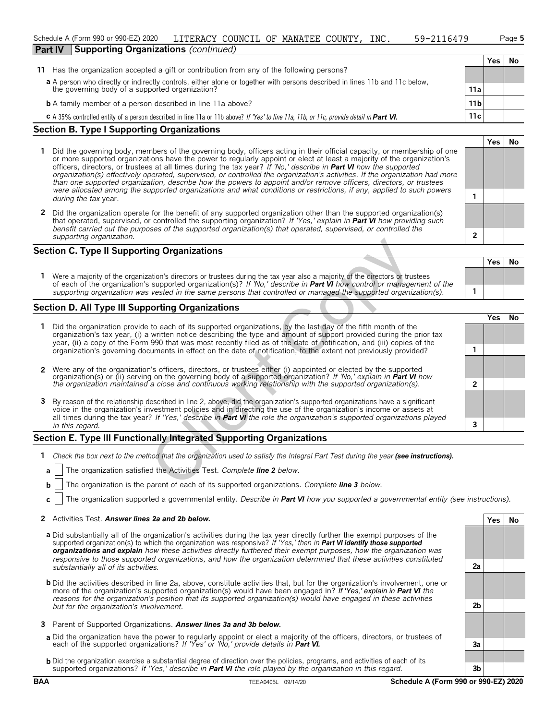#### Schedule A (Form 990 or 990-EZ) 2020 LITERACY COUNCIL OF MANATEE COUNTY, INC. 59-2116479 Page **5 Part IV Supporting Organizations** *(continued)*

| 5479 | Paq |
|------|-----|
|------|-----|

**Yes No**

|                                                                                                                                                | Yes | No |
|------------------------------------------------------------------------------------------------------------------------------------------------|-----|----|
| 11 Has the organization accepted a gift or contribution from any of the following persons?                                                     |     |    |
| a A person who directly or indirectly controls, either alone or together with persons described in lines 11b and 11c below,                    |     |    |
| the governing body of a supported organization?<br>11a                                                                                         |     |    |
| <b>b</b> A family member of a person described in line 11a above?<br>11 <sub>b</sub>                                                           |     |    |
| 11c<br>C A 35% controlled entity of a person described in line 11a or 11b above? If 'Yes' to line 11a, 11b, or 11c, provide detail in Part VI. |     |    |

# **Section B. Type I Supporting Organizations**

- **1** Did the governing body, members of the governing body, officers acting in their official capacity, or membership of one or more supported organizations have the power to regularly appoint or elect at least a majority of the organization's officers, directors, or trustees at all times during the tax year? *If 'No,' describe in Part VI how the supported organization(s) effectively operated, supervised, or controlled the organization's activities. If the organization had more than one supported organization, describe how the powers to appoint and/or remove officers, directors, or trustees were allocated among the supported organizations and what conditions or restrictions, if any, applied to such powers* **1** *during the tax* year.
- **2** Did the organization operate for the benefit of any supported organization other than the supported organization(s) that operated, supervised, or controlled the supporting organization? *If 'Yes,' explain in Part VI how providing such benefit carried out the purposes of the supported organization(s) that operated, supervised, or controlled the supporting organization.* **2**

# **Section C. Type II Supporting Organizations**

# **Section D. All Type III Supporting Organizations**

|              | <b>Section C. Type II Supporting Organizations</b>                                                                                                                                                                                                                                                                                                                           |                |            |     |
|--------------|------------------------------------------------------------------------------------------------------------------------------------------------------------------------------------------------------------------------------------------------------------------------------------------------------------------------------------------------------------------------------|----------------|------------|-----|
|              |                                                                                                                                                                                                                                                                                                                                                                              |                | <b>Yes</b> | No  |
|              | Were a majority of the organization's directors or trustees during the tax year also a majority of the directors or trustees<br>of each of the organization's supported organization(s)? If 'No,' describe in Part VI how control or management of the<br>supporting organization was vested in the same persons that controlled or managed the supported organization(s).   |                |            |     |
|              | Section D. All Type III Supporting Organizations                                                                                                                                                                                                                                                                                                                             |                |            |     |
|              | Did the organization provide to each of its supported organizations, by the last day of the fifth month of the<br>organization's tax year, (i) a written notice describing the type and amount of support provided during the prior tax<br>year, (ii) a copy of the Form 990 that was most recently filed as of the date of notification, and (iii) copies of the            |                | Yes.       | No. |
| $\mathbf{2}$ | organization's governing documents in effect on the date of notification, to the extent not previously provided?<br>Were any of the organization's officers, directors, or trustees either (i) appointed or elected by the supported                                                                                                                                         |                |            |     |
|              | organization(s) or (ii) serving on the governing body of a supported organization? If 'No,' explain in <b>Part VI</b> how<br>the organization maintained a close and continuous working relationship with the supported organization(s).                                                                                                                                     | $\overline{2}$ |            |     |
| 3            | By reason of the relationship described in line 2, above, did the organization's supported organizations have a significant<br>voice in the organization's investment policies and in directing the use of the organization's income or assets at<br>all times during the tax year? If 'Yes,' describe in Part VI the role the organization's supported organizations played |                |            |     |
|              | in this regard.                                                                                                                                                                                                                                                                                                                                                              | 3              |            |     |
|              | Section E. Type III Functionally Integrated Supporting Organizations                                                                                                                                                                                                                                                                                                         |                |            |     |
| 1.           | Check the box next to the method that the organization used to satisfy the Integral Part Test during the year (see instructions).                                                                                                                                                                                                                                            |                |            |     |
|              | The organization satisfied the Activities Test. Complete line 2 below.<br>a                                                                                                                                                                                                                                                                                                  |                |            |     |
|              | The organization is the parent of each of its supported organizations. Complete line 3 below.<br>b.                                                                                                                                                                                                                                                                          |                |            |     |

# **Section E. Type III Functionally Integrated Supporting Organizations**

- **1** *Check the box next to the method that the organization used to satisfy the Integral Part Test during the year (see instructions).* 
	- **a** The organization satisfied the Activities Test. *Complete line 2 below.*
	- **b** The organization is the parent of each of its supported organizations. *Complete line 3 below.*
	- **c** The organization supported a governmental entity. *Describe in Part VI how you supported a governmental entity (see instructions).*

#### **2** Activities Test. *Answer lines 2a and 2b below.* **Yes No**

- **a** Did substantially all of the organization's activities during the tax year directly further the exempt purposes of the supported organization(s) to which the organization was responsive? *If 'Yes,' then in Part VI identify those supported organizations and explain how these activities directly furthered their exempt purposes, how the organization was responsive to those supported organizations, and how the organization determined that these activities constituted substantially all of its activities.* **2a**
- **b** Did the activities described in line 2a, above, constitute activities that, but for the organization's involvement, one or more of the organization's supported organization(s) would have been engaged in? *If 'Yes,' explain in Part VI the reasons for the organization's position that its supported organization(s) would have engaged in these activities but for the organization's involvement.* **2b**
- **3** Parent of Supported Organizations. *Answer lines 3a and 3b below.*
- **a** Did the organization have the power to regularly appoint or elect a majority of the officers, directors, or trustees of each of the supported organizations? *If 'Yes' or 'No,' provide details in Part VI.* **3a**
- **b** Did the organization exercise a substantial degree of direction over the policies, programs, and activities of each of its supported organizations? *If 'Yes,' describe in Part VI the role played by the organization in this regard.* **3b**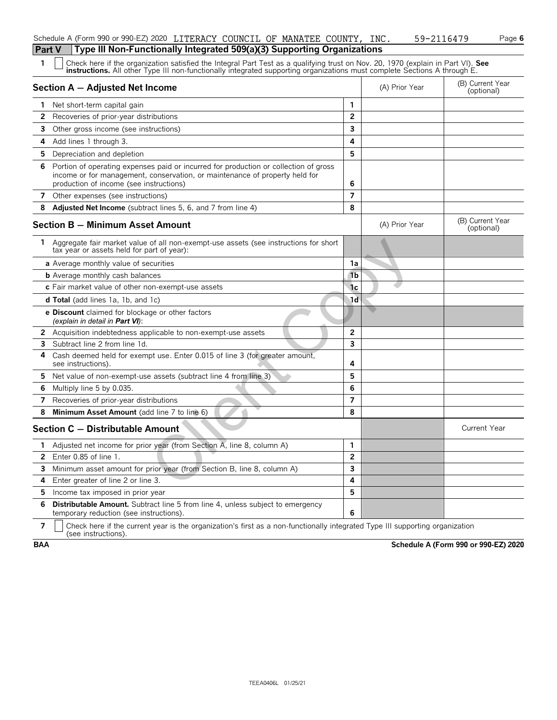|   | Type III Non-Functionally Integrated 509(a)(3) Supporting Organizations<br><b>Part V</b>                                                                                                                                                                      |                |                |                                |
|---|---------------------------------------------------------------------------------------------------------------------------------------------------------------------------------------------------------------------------------------------------------------|----------------|----------------|--------------------------------|
| 1 | Check here if the organization satisfied the Integral Part Test as a qualifying trust on Nov. 20, 1970 (explain in Part VI). See<br>instructions. All other Type III non-functionally integrated supporting organizations must complete Sections A through E. |                |                |                                |
|   | Section A - Adjusted Net Income                                                                                                                                                                                                                               |                | (A) Prior Year | (B) Current Year<br>(optional) |
|   | Net short-term capital gain                                                                                                                                                                                                                                   | $\mathbf{1}$   |                |                                |
| 2 | Recoveries of prior-year distributions                                                                                                                                                                                                                        | $\mathbf{2}$   |                |                                |
| 3 | Other gross income (see instructions)                                                                                                                                                                                                                         | 3              |                |                                |
| 4 | Add lines 1 through 3.                                                                                                                                                                                                                                        | 4              |                |                                |
|   | 5 Depreciation and depletion                                                                                                                                                                                                                                  | 5              |                |                                |
| 6 | Portion of operating expenses paid or incurred for production or collection of gross<br>income or for management, conservation, or maintenance of property held for<br>production of income (see instructions)                                                | 6              |                |                                |
|   | 7 Other expenses (see instructions)                                                                                                                                                                                                                           | $\overline{7}$ |                |                                |
| 8 | Adjusted Net Income (subtract lines 5, 6, and 7 from line 4)                                                                                                                                                                                                  | 8              |                |                                |
|   | Section B - Minimum Asset Amount                                                                                                                                                                                                                              |                | (A) Prior Year | (B) Current Year<br>(optional) |
|   | Aggregate fair market value of all non-exempt-use assets (see instructions for short<br>tax year or assets held for part of year):                                                                                                                            |                |                |                                |
|   | <b>a</b> Average monthly value of securities                                                                                                                                                                                                                  | 1a             |                |                                |
|   | <b>b</b> Average monthly cash balances                                                                                                                                                                                                                        | 1 <sub>b</sub> |                |                                |
|   | c Fair market value of other non-exempt-use assets                                                                                                                                                                                                            | 1c             |                |                                |
|   | <b>d Total</b> (add lines 1a, 1b, and 1c)                                                                                                                                                                                                                     | 1 <sub>d</sub> |                |                                |
|   | e Discount claimed for blockage or other factors<br>(explain in detail in Part VI):                                                                                                                                                                           |                |                |                                |
|   | <b>2</b> Acquisition indebtedness applicable to non-exempt-use assets                                                                                                                                                                                         | $\mathbf{2}$   |                |                                |
| 3 | Subtract line 2 from line 1d.                                                                                                                                                                                                                                 | 3              |                |                                |
| 4 | Cash deemed held for exempt use. Enter 0.015 of line 3 (for greater amount,<br>see instructions).                                                                                                                                                             | 4              |                |                                |
|   | 5 Net value of non-exempt-use assets (subtract line 4 from line 3)                                                                                                                                                                                            | 5              |                |                                |
| 6 | Multiply line 5 by 0.035.                                                                                                                                                                                                                                     | 6              |                |                                |
| 7 | Recoveries of prior-year distributions                                                                                                                                                                                                                        | $\overline{7}$ |                |                                |
| 8 | Minimum Asset Amount (add line 7 to line 6)                                                                                                                                                                                                                   | 8              |                |                                |
|   | Section C - Distributable Amount                                                                                                                                                                                                                              |                |                | <b>Current Year</b>            |
|   | 1 Adjusted net income for prior year (from Section A, line 8, column A)                                                                                                                                                                                       | 1              |                |                                |
| 2 | Enter 0.85 of line 1.                                                                                                                                                                                                                                         | 2              |                |                                |
|   | 3 Minimum asset amount for prior year (from Section B, line 8, column A)                                                                                                                                                                                      | 3              |                |                                |
| 4 | Enter greater of line 2 or line 3.                                                                                                                                                                                                                            | 4              |                |                                |
|   | 5 Income tax imposed in prior year                                                                                                                                                                                                                            | 5              |                |                                |
| 6 | <b>Distributable Amount.</b> Subtract line 5 from line 4, unless subject to emergency<br>temporary reduction (see instructions).                                                                                                                              | 6              |                |                                |
|   | Chaoli hora if the ourrant voor                                                                                                                                                                                                                               |                |                |                                |

Schedule A (Form 990 or 990-EZ) 2020 LITERACY COUNCIL OF MANATEE COUNTY, INC. 59-2116479 Page **6** 

**7**  $\mid$  Check here if the current year is the organization's first as a non-functionally integrated Type III supporting organization (see instructions).

**BAA Schedule A (Form 990 or 990-EZ) 2020**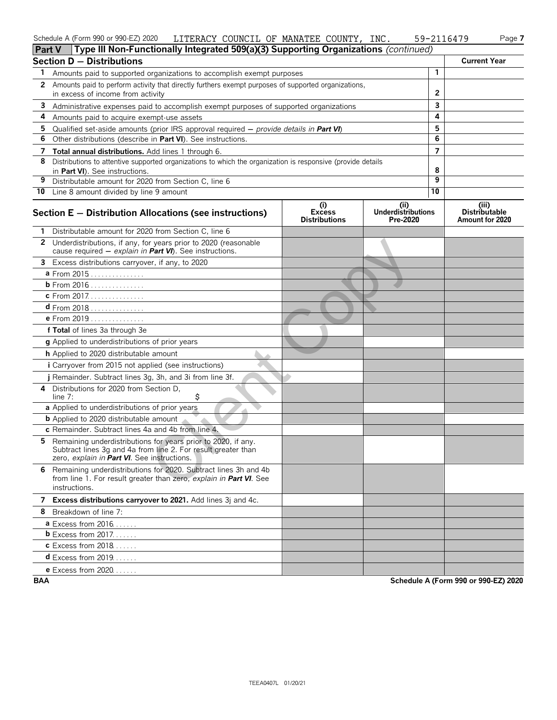#### Schedule A (Form 990 or 990-EZ) 2020 LITERACY COUNCIL OF MANATEE COUNTY, INC. 59-2116479 Page **7** LITERACY COUNCIL OF MANATEE COUNTY, INC. 59-2116479

| <b>Part V</b> | Type III Non-Functionally Integrated 509(a)(3) Supporting Organizations (continued)                                                                                           |                                              |                                              |                |                                                  |
|---------------|-------------------------------------------------------------------------------------------------------------------------------------------------------------------------------|----------------------------------------------|----------------------------------------------|----------------|--------------------------------------------------|
|               | <b>Section D - Distributions</b>                                                                                                                                              |                                              |                                              |                | <b>Current Year</b>                              |
| 1             | Amounts paid to supported organizations to accomplish exempt purposes                                                                                                         |                                              |                                              | $\mathbf{1}$   |                                                  |
| 2             | Amounts paid to perform activity that directly furthers exempt purposes of supported organizations,                                                                           |                                              |                                              |                |                                                  |
|               | in excess of income from activity                                                                                                                                             |                                              |                                              | 2              |                                                  |
| 3             | Administrative expenses paid to accomplish exempt purposes of supported organizations                                                                                         |                                              |                                              | 3              |                                                  |
| 4             | Amounts paid to acquire exempt-use assets                                                                                                                                     |                                              |                                              | 4              |                                                  |
| 5             | Qualified set-aside amounts (prior IRS approval required $-$ provide details in Part VI)                                                                                      |                                              |                                              | 5              |                                                  |
| 6             | Other distributions (describe in Part VI). See instructions.                                                                                                                  |                                              |                                              | 6              |                                                  |
| 7             | Total annual distributions. Add lines 1 through 6.                                                                                                                            |                                              |                                              | $\overline{7}$ |                                                  |
| 8             | Distributions to attentive supported organizations to which the organization is responsive (provide details                                                                   |                                              |                                              | 8              |                                                  |
| 9             | in Part VI). See instructions.<br>Distributable amount for 2020 from Section C, line 6                                                                                        |                                              |                                              | 9              |                                                  |
|               | 10 Line 8 amount divided by line 9 amount                                                                                                                                     |                                              |                                              | 10             |                                                  |
|               |                                                                                                                                                                               |                                              |                                              |                |                                                  |
|               | Section E - Distribution Allocations (see instructions)                                                                                                                       | (i)<br><b>Excess</b><br><b>Distributions</b> | (i)<br><b>Underdistributions</b><br>Pre-2020 |                | (iii)<br><b>Distributable</b><br>Amount for 2020 |
|               | Distributable amount for 2020 from Section C, line 6                                                                                                                          |                                              |                                              |                |                                                  |
|               | 2 Underdistributions, if any, for years prior to 2020 (reasonable<br>cause required - explain in Part VI). See instructions.                                                  |                                              |                                              |                |                                                  |
| 3             | Excess distributions carryover, if any, to 2020                                                                                                                               |                                              |                                              |                |                                                  |
|               | a From 2015                                                                                                                                                                   |                                              |                                              |                |                                                  |
|               | <b>b</b> From 2016                                                                                                                                                            |                                              |                                              |                |                                                  |
|               | c From 2017.                                                                                                                                                                  |                                              |                                              |                |                                                  |
|               | <b>d</b> From 2018                                                                                                                                                            |                                              |                                              |                |                                                  |
|               | e From 2019                                                                                                                                                                   |                                              |                                              |                |                                                  |
|               | f Total of lines 3a through 3e                                                                                                                                                |                                              |                                              |                |                                                  |
|               | g Applied to underdistributions of prior years                                                                                                                                |                                              |                                              |                |                                                  |
|               | h Applied to 2020 distributable amount                                                                                                                                        |                                              |                                              |                |                                                  |
|               | i Carryover from 2015 not applied (see instructions)                                                                                                                          |                                              |                                              |                |                                                  |
|               | j Remainder. Subtract lines 3g, 3h, and 3i from line 3f.                                                                                                                      |                                              |                                              |                |                                                  |
| 4             | Distributions for 2020 from Section D,<br>\$<br>line $7:$                                                                                                                     |                                              |                                              |                |                                                  |
|               | a Applied to underdistributions of prior years                                                                                                                                |                                              |                                              |                |                                                  |
|               | <b>b</b> Applied to 2020 distributable amount                                                                                                                                 |                                              |                                              |                |                                                  |
|               | c Remainder. Subtract lines 4a and 4b from line 4.                                                                                                                            |                                              |                                              |                |                                                  |
| 5.            | Remaining underdistributions for years prior to 2020, if any.<br>Subtract lines 3g and 4a from line 2. For result greater than<br>zero, explain in Part VI. See instructions. |                                              |                                              |                |                                                  |
|               | 6 Remaining underdistributions for 2020. Subtract lines 3h and 4b<br>from line 1. For result greater than zero, explain in Part VI. See<br>instructions.                      |                                              |                                              |                |                                                  |
|               | 7 Excess distributions carryover to 2021. Add lines 3j and 4c.                                                                                                                |                                              |                                              |                |                                                  |
|               | 8 Breakdown of line 7:                                                                                                                                                        |                                              |                                              |                |                                                  |
|               | <b>a</b> Excess from $2016$                                                                                                                                                   |                                              |                                              |                |                                                  |
|               | $b$ Excess from 2017.                                                                                                                                                         |                                              |                                              |                |                                                  |
|               | <b>c</b> Excess from 2018                                                                                                                                                     |                                              |                                              |                |                                                  |
|               | <b>d</b> Excess from 2019                                                                                                                                                     |                                              |                                              |                |                                                  |
|               | e Excess from 2020.                                                                                                                                                           |                                              |                                              |                |                                                  |

**BAA Schedule A (Form 990 or 990-EZ) 2020**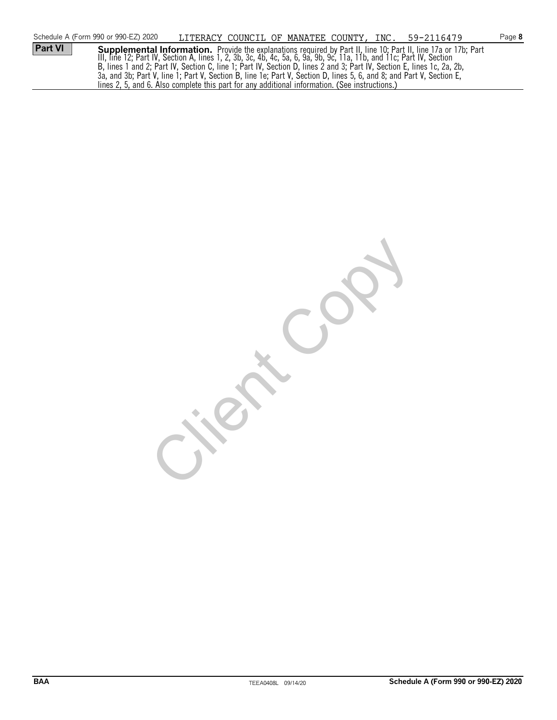|                | Schedule A (Form 990 or 990-EZ) 2020 | LITERACY COUNCIL OF MANATEE COUNTY, INC. 59-2116479                                                                    |  |  |                                                                                                                                                                                                                                        | Page 8 |
|----------------|--------------------------------------|------------------------------------------------------------------------------------------------------------------------|--|--|----------------------------------------------------------------------------------------------------------------------------------------------------------------------------------------------------------------------------------------|--------|
| <b>Part VI</b> |                                      |                                                                                                                        |  |  | <b>Supplemental Information.</b> Provide the explanations required by Part II, line 10; Part II, line 17a or 17b; Part<br>III, line 12; Part IV, Section A, lines 1, 2, 3b, 3c, 4b, 4c, 5a, 6, 9a, 9b, 9c, 11a, 11b, and 11c; Part IV, |        |
|                |                                      |                                                                                                                        |  |  |                                                                                                                                                                                                                                        |        |
|                |                                      | B, lines 1 and 2; Part IV, Section C, line 1; Part IV, Section D, lines 2 and 3; Part IV, Section E, lines 1c, 2a, 2b, |  |  |                                                                                                                                                                                                                                        |        |
|                |                                      | 3a, and 3b; Part V, line 1; Part V, Section B, line 1e; Part V, Section D, lines 5, 6, and 8; and Part V, Section E,   |  |  |                                                                                                                                                                                                                                        |        |
|                |                                      | lines 2, 5, and 6. Also complete this part for any additional information. (See instructions.)                         |  |  |                                                                                                                                                                                                                                        |        |

ient Cop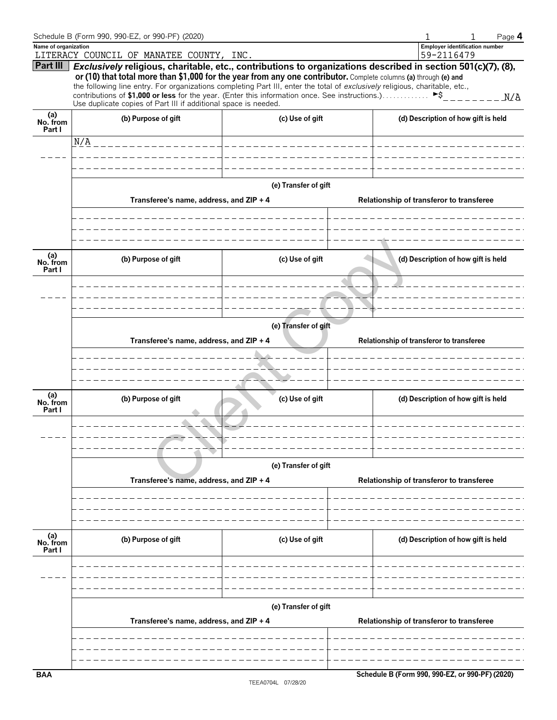|                           | Schedule B (Form 990, 990-EZ, or 990-PF) (2020)                                                                                                                                                                                                                                                                                                                                                                                                                                                                                            |                                          | Page 4                                              |
|---------------------------|--------------------------------------------------------------------------------------------------------------------------------------------------------------------------------------------------------------------------------------------------------------------------------------------------------------------------------------------------------------------------------------------------------------------------------------------------------------------------------------------------------------------------------------------|------------------------------------------|-----------------------------------------------------|
| Name of organization      | LITERACY COUNCIL OF MANATEE COUNTY, INC.                                                                                                                                                                                                                                                                                                                                                                                                                                                                                                   |                                          | <b>Employer identification number</b><br>59-2116479 |
| Part III                  | Exclusively religious, charitable, etc., contributions to organizations described in section 501(c)(7), (8),<br>or (10) that total more than \$1,000 for the year from any one contributor. Complete columns (a) through (e) and<br>the following line entry. For organizations completing Part III, enter the total of exclusively religious, charitable, etc.,<br>contributions of \$1,000 or less for the year. (Enter this information once. See instructions.) ►\$<br>Use duplicate copies of Part III if additional space is needed. |                                          | N/A                                                 |
| (a)<br>No. from<br>Part I | (b) Purpose of gift                                                                                                                                                                                                                                                                                                                                                                                                                                                                                                                        | (c) Use of gift                          | (d) Description of how gift is held                 |
|                           | N/A                                                                                                                                                                                                                                                                                                                                                                                                                                                                                                                                        |                                          |                                                     |
|                           |                                                                                                                                                                                                                                                                                                                                                                                                                                                                                                                                            |                                          |                                                     |
|                           |                                                                                                                                                                                                                                                                                                                                                                                                                                                                                                                                            | (e) Transfer of gift                     |                                                     |
|                           | Transferee's name, address, and ZIP + 4                                                                                                                                                                                                                                                                                                                                                                                                                                                                                                    |                                          | Relationship of transferor to transferee            |
|                           |                                                                                                                                                                                                                                                                                                                                                                                                                                                                                                                                            |                                          |                                                     |
| (a)<br>No. from           | (b) Purpose of gift                                                                                                                                                                                                                                                                                                                                                                                                                                                                                                                        | (c) Use of gift                          | (d) Description of how gift is held                 |
| Part I                    |                                                                                                                                                                                                                                                                                                                                                                                                                                                                                                                                            |                                          |                                                     |
|                           |                                                                                                                                                                                                                                                                                                                                                                                                                                                                                                                                            |                                          |                                                     |
|                           |                                                                                                                                                                                                                                                                                                                                                                                                                                                                                                                                            |                                          |                                                     |
|                           | Transferee's name, address, and ZIP + 4                                                                                                                                                                                                                                                                                                                                                                                                                                                                                                    | Relationship of transferor to transferee |                                                     |
|                           |                                                                                                                                                                                                                                                                                                                                                                                                                                                                                                                                            |                                          |                                                     |
|                           |                                                                                                                                                                                                                                                                                                                                                                                                                                                                                                                                            |                                          |                                                     |
| (a)<br>No. from<br>Part I | (b) Purpose of gift                                                                                                                                                                                                                                                                                                                                                                                                                                                                                                                        | (c) Use of gift                          | (d) Description of how gift is held                 |
|                           |                                                                                                                                                                                                                                                                                                                                                                                                                                                                                                                                            |                                          |                                                     |
|                           |                                                                                                                                                                                                                                                                                                                                                                                                                                                                                                                                            |                                          |                                                     |
|                           |                                                                                                                                                                                                                                                                                                                                                                                                                                                                                                                                            | (e) Transfer of gift                     |                                                     |
|                           | Transferee's name, address, and ZIP + 4                                                                                                                                                                                                                                                                                                                                                                                                                                                                                                    |                                          | Relationship of transferor to transferee            |
|                           |                                                                                                                                                                                                                                                                                                                                                                                                                                                                                                                                            |                                          |                                                     |
|                           |                                                                                                                                                                                                                                                                                                                                                                                                                                                                                                                                            |                                          |                                                     |
| (a)<br>No. from<br>Part I | (b) Purpose of gift                                                                                                                                                                                                                                                                                                                                                                                                                                                                                                                        | (c) Use of gift                          | (d) Description of how gift is held                 |
|                           |                                                                                                                                                                                                                                                                                                                                                                                                                                                                                                                                            |                                          |                                                     |
|                           |                                                                                                                                                                                                                                                                                                                                                                                                                                                                                                                                            |                                          |                                                     |
|                           |                                                                                                                                                                                                                                                                                                                                                                                                                                                                                                                                            | (e) Transfer of gift                     |                                                     |
|                           | Transferee's name, address, and ZIP + 4                                                                                                                                                                                                                                                                                                                                                                                                                                                                                                    |                                          | Relationship of transferor to transferee            |
|                           |                                                                                                                                                                                                                                                                                                                                                                                                                                                                                                                                            |                                          |                                                     |
|                           |                                                                                                                                                                                                                                                                                                                                                                                                                                                                                                                                            |                                          |                                                     |
| <b>BAA</b>                |                                                                                                                                                                                                                                                                                                                                                                                                                                                                                                                                            |                                          | Schedule B (Form 990, 990-EZ, or 990-PF) (2020)     |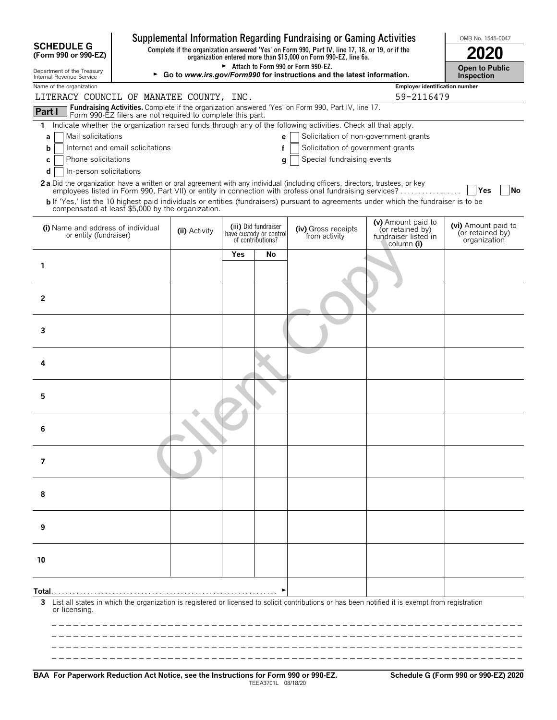|                                                              |                                                            |                                                                                                                                                              |            |                                                                      | Supplemental Information Regarding Fundraising or Gaming Activities                                                                                                                                                                                                                                                                                                               |                                                                              | OMB No. 1545-0047                                       |  |  |  |
|--------------------------------------------------------------|------------------------------------------------------------|--------------------------------------------------------------------------------------------------------------------------------------------------------------|------------|----------------------------------------------------------------------|-----------------------------------------------------------------------------------------------------------------------------------------------------------------------------------------------------------------------------------------------------------------------------------------------------------------------------------------------------------------------------------|------------------------------------------------------------------------------|---------------------------------------------------------|--|--|--|
| <b>SCHEDULE G</b><br>(Form 990 or 990-EZ)                    |                                                            |                                                                                                                                                              |            |                                                                      | Complete if the organization answered 'Yes' on Form 990, Part IV, line 17, 18, or 19, or if the<br>organization entered more than \$15,000 on Form 990-EZ, line 6a.                                                                                                                                                                                                               |                                                                              |                                                         |  |  |  |
| Department of the Treasury<br>Internal Revenue Service       |                                                            | Attach to Form 990 or Form 990-EZ.<br><b>Open to Public</b><br>► Go to www.irs.gov/Form990 for instructions and the latest information.<br><b>Inspection</b> |            |                                                                      |                                                                                                                                                                                                                                                                                                                                                                                   |                                                                              |                                                         |  |  |  |
| Name of the organization                                     | Employer identification number                             |                                                                                                                                                              |            |                                                                      |                                                                                                                                                                                                                                                                                                                                                                                   |                                                                              |                                                         |  |  |  |
| LITERACY COUNCIL OF MANATEE COUNTY, INC.                     |                                                            |                                                                                                                                                              |            |                                                                      | Fundraising Activities. Complete if the organization answered 'Yes' on Form 990, Part IV, line 17.                                                                                                                                                                                                                                                                                | 59-2116479                                                                   |                                                         |  |  |  |
| Part I                                                       | Form 990-EZ filers are not required to complete this part. |                                                                                                                                                              |            |                                                                      |                                                                                                                                                                                                                                                                                                                                                                                   |                                                                              |                                                         |  |  |  |
| 1.<br>Mail solicitations<br>a                                |                                                            |                                                                                                                                                              |            | e                                                                    | Indicate whether the organization raised funds through any of the following activities. Check all that apply.<br>Solicitation of non-government grants                                                                                                                                                                                                                            |                                                                              |                                                         |  |  |  |
| b                                                            | Internet and email solicitations                           |                                                                                                                                                              |            | f                                                                    | Solicitation of government grants                                                                                                                                                                                                                                                                                                                                                 |                                                                              |                                                         |  |  |  |
| Phone solicitations<br>С<br>In-person solicitations<br>d     |                                                            |                                                                                                                                                              |            | g                                                                    | Special fundraising events                                                                                                                                                                                                                                                                                                                                                        |                                                                              |                                                         |  |  |  |
| compensated at least \$5,000 by the organization.            |                                                            |                                                                                                                                                              |            |                                                                      | 2a Did the organization have a written or oral agreement with any individual (including officers, directors, trustees, or key<br>employees listed in Form 990, Part VII) or entity in connection with professional fundraising services?<br>b If 'Yes,' list the 10 highest paid individuals or entities (fundraisers) pursuant to agreements under which the fundraiser is to be |                                                                              | <b>Yes</b><br>No                                        |  |  |  |
| (i) Name and address of individual<br>or entity (fundraiser) |                                                            | (ii) Activity                                                                                                                                                |            | (iii) Did fundraiser<br>have custody or control<br>of contributions? | (iv) Gross receipts<br>from activity                                                                                                                                                                                                                                                                                                                                              | (v) Amount paid to<br>(or retained by)<br>fundraiser listed in<br>column (i) | (vi) Amount paid to<br>(or retained by)<br>organization |  |  |  |
|                                                              |                                                            |                                                                                                                                                              | <b>Yes</b> | No                                                                   |                                                                                                                                                                                                                                                                                                                                                                                   |                                                                              |                                                         |  |  |  |
| 1                                                            |                                                            |                                                                                                                                                              |            |                                                                      |                                                                                                                                                                                                                                                                                                                                                                                   |                                                                              |                                                         |  |  |  |
| 2                                                            |                                                            |                                                                                                                                                              |            |                                                                      |                                                                                                                                                                                                                                                                                                                                                                                   |                                                                              |                                                         |  |  |  |
| 3                                                            |                                                            |                                                                                                                                                              |            |                                                                      |                                                                                                                                                                                                                                                                                                                                                                                   |                                                                              |                                                         |  |  |  |
| 4                                                            |                                                            |                                                                                                                                                              |            |                                                                      |                                                                                                                                                                                                                                                                                                                                                                                   |                                                                              |                                                         |  |  |  |
| 5                                                            |                                                            |                                                                                                                                                              |            |                                                                      |                                                                                                                                                                                                                                                                                                                                                                                   |                                                                              |                                                         |  |  |  |
| 6                                                            |                                                            |                                                                                                                                                              |            |                                                                      |                                                                                                                                                                                                                                                                                                                                                                                   |                                                                              |                                                         |  |  |  |
| 7                                                            |                                                            |                                                                                                                                                              |            |                                                                      |                                                                                                                                                                                                                                                                                                                                                                                   |                                                                              |                                                         |  |  |  |
| 8                                                            |                                                            |                                                                                                                                                              |            |                                                                      |                                                                                                                                                                                                                                                                                                                                                                                   |                                                                              |                                                         |  |  |  |
| 9                                                            |                                                            |                                                                                                                                                              |            |                                                                      |                                                                                                                                                                                                                                                                                                                                                                                   |                                                                              |                                                         |  |  |  |
| 10                                                           |                                                            |                                                                                                                                                              |            |                                                                      |                                                                                                                                                                                                                                                                                                                                                                                   |                                                                              |                                                         |  |  |  |
|                                                              |                                                            |                                                                                                                                                              |            |                                                                      |                                                                                                                                                                                                                                                                                                                                                                                   |                                                                              |                                                         |  |  |  |
| Total.<br>3<br>or licensing.                                 |                                                            |                                                                                                                                                              |            |                                                                      | List all states in which the organization is registered or licensed to solicit contributions or has been notified it is exempt from registration                                                                                                                                                                                                                                  |                                                                              |                                                         |  |  |  |
|                                                              |                                                            |                                                                                                                                                              |            |                                                                      |                                                                                                                                                                                                                                                                                                                                                                                   |                                                                              |                                                         |  |  |  |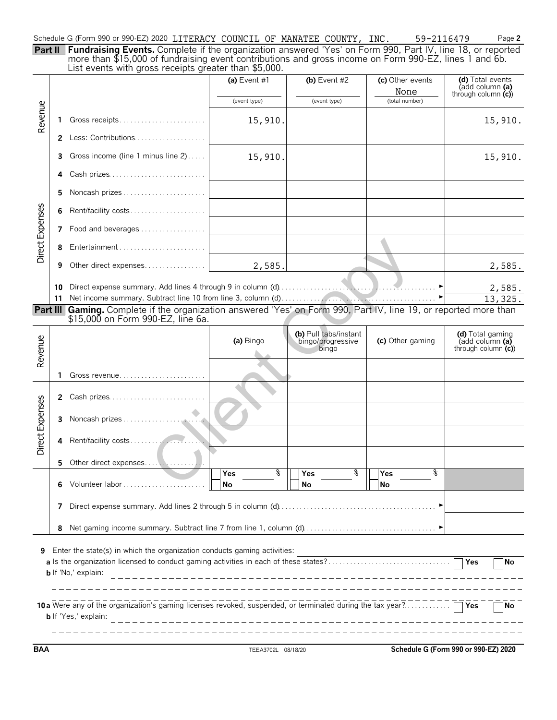| Schedule G (Form 990 or 990-EZ) 2020 LITERACY COUNCIL OF MANATEE COUNTY, INC.                                               |  |  |  | 59-2116479 | Page 2 |
|-----------------------------------------------------------------------------------------------------------------------------|--|--|--|------------|--------|
| <b>Part II   Fundraising Events.</b> Complete if the organization answered 'Yes' on Form 990, Part IV, line 18, or reported |  |  |  |            |        |
| more than \$15,000 of fundraising event contributions and gross income on Form 990-EZ, lines 1 and 6b.                      |  |  |  |            |        |

|                 |              | List events with gross receipts greater than \$5,000.                                                                                                                                          |                   |                                                     |                          |                                                             |
|-----------------|--------------|------------------------------------------------------------------------------------------------------------------------------------------------------------------------------------------------|-------------------|-----------------------------------------------------|--------------------------|-------------------------------------------------------------|
|                 |              |                                                                                                                                                                                                | (a) Event #1      | (b) Event $#2$                                      | (c) Other events<br>None | (d) Total events<br>(add column (a)<br>through column $(c)$ |
|                 |              |                                                                                                                                                                                                | (event type)      | (event type)                                        | (total number)           |                                                             |
| Revenue         | 1.           | Gross receipts                                                                                                                                                                                 | 15,910.           |                                                     |                          | 15,910.                                                     |
|                 | $\mathbf{2}$ | Less: Contributions                                                                                                                                                                            |                   |                                                     |                          |                                                             |
|                 | 3            | Gross income (line 1 minus line 2)                                                                                                                                                             | 15,910.           |                                                     |                          | 15,910.                                                     |
|                 | 4            | Cash prizes                                                                                                                                                                                    |                   |                                                     |                          |                                                             |
|                 | 5            | Noncash prizes                                                                                                                                                                                 |                   |                                                     |                          |                                                             |
|                 | 6            | Rent/facility costs                                                                                                                                                                            |                   |                                                     |                          |                                                             |
|                 | 7            | Food and beverages                                                                                                                                                                             |                   |                                                     |                          |                                                             |
| Direct Expenses | 8            | Entertainment                                                                                                                                                                                  |                   |                                                     |                          |                                                             |
|                 | 9            | Other direct expenses                                                                                                                                                                          | 2,585.            |                                                     |                          | 2,585.                                                      |
|                 | 10<br>11     |                                                                                                                                                                                                |                   |                                                     |                          | 2,585.<br>13,325.                                           |
|                 |              | <b>Part III Gaming.</b> Complete if the organization answered 'Yes' on Form 990, Part IV, line 19, or reported more than<br>\$15,000 on Form 990-EZ, line 6a.                                  |                   |                                                     |                          |                                                             |
| Revenue         |              |                                                                                                                                                                                                | (a) Bingo         | (b) Pull tabs/instant<br>bingo/progressive<br>bingo | (c) Other gaming         | (d) Total gaming<br>(add column (a)<br>through column $(c)$ |
|                 | 1            | Gross revenue                                                                                                                                                                                  |                   |                                                     |                          |                                                             |
|                 | $\mathbf{2}$ | Cash prizes                                                                                                                                                                                    |                   |                                                     |                          |                                                             |
| Direct Expenses | 3            |                                                                                                                                                                                                |                   |                                                     |                          |                                                             |
|                 | 4            |                                                                                                                                                                                                |                   |                                                     |                          |                                                             |
|                 |              |                                                                                                                                                                                                |                   |                                                     |                          |                                                             |
|                 | 6            |                                                                                                                                                                                                | ९ ⊺ा<br>Yes<br>No | ्र<br>Yes<br>No                                     | ०<br>Yes<br>No           |                                                             |
|                 | 7            |                                                                                                                                                                                                |                   |                                                     |                          |                                                             |
|                 | 8            |                                                                                                                                                                                                |                   |                                                     |                          |                                                             |
| 9               |              | Enter the state(s) in which the organization conducts gaming activities:<br>a Is the organization licensed to conduct gaming activities in each of these states?<br><b>b</b> If 'No,' explain: |                   |                                                     |                          | Yes<br>No                                                   |
|                 |              | 10 a Were any of the organization's gaming licenses revoked, suspended, or terminated during the tax year?<br><b>b</b> If 'Yes,' explain:                                                      |                   |                                                     |                          | No                                                          |

**BAA** TEEA3702L 08/18/20 **Schedule G (Form 990 or 990-EZ) 2020**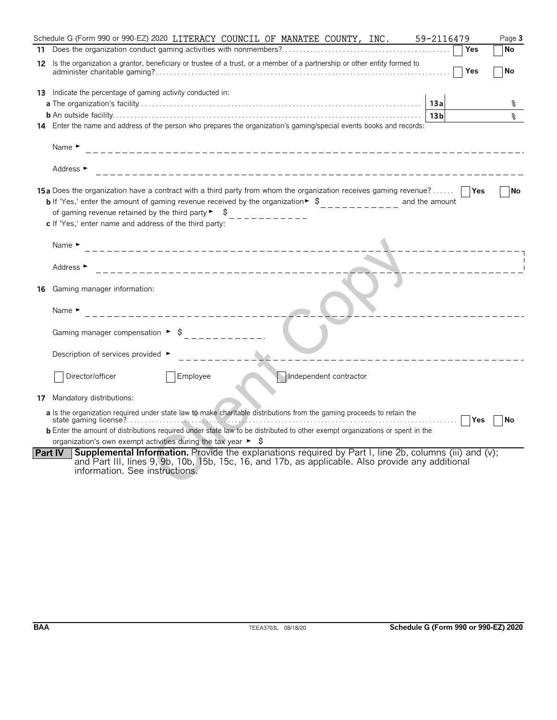|                | 59-2116479<br>Schedule G (Form 990 or 990-EZ) 2020 LITERACY COUNCIL OF MANATEE COUNTY, INC.<br>Page 3                                                                                                                                                                                                                                                                                                                                                                                    |
|----------------|------------------------------------------------------------------------------------------------------------------------------------------------------------------------------------------------------------------------------------------------------------------------------------------------------------------------------------------------------------------------------------------------------------------------------------------------------------------------------------------|
|                | Yes<br>No                                                                                                                                                                                                                                                                                                                                                                                                                                                                                |
|                | 12 Is the organization a grantor, beneficiary or trustee of a trust, or a member of a partnership or other entity formed to<br>Yes<br>No                                                                                                                                                                                                                                                                                                                                                 |
|                | <b>13</b> Indicate the percentage of gaming activity conducted in:<br>13a                                                                                                                                                                                                                                                                                                                                                                                                                |
|                | 13 <sub>b</sub><br>နွ<br>14 Enter the name and address of the person who prepares the organization's gaming/special events books and records:                                                                                                                                                                                                                                                                                                                                            |
|                | Name $\blacktriangleright$                                                                                                                                                                                                                                                                                                                                                                                                                                                               |
|                | Address ►                                                                                                                                                                                                                                                                                                                                                                                                                                                                                |
|                | <b>15a</b> Does the organization have a contract with a third party from whom the organization receives gaming revenue?<br><b>No</b><br><b>b</b> If 'Yes,' enter the amount of gaming revenue received by the organization $\frac{1}{2}$ , $\frac{1}{2}$ , $\frac{1}{2}$ , $\frac{1}{2}$ , and the amount<br>of gaming revenue retained by the third party $\begin{bmatrix} 1 & 1 \\ 2 & -1 & -1 \\ 3 & -1 & -1 \end{bmatrix}$<br>c If 'Yes,' enter name and address of the third party: |
|                | Name $\blacktriangleright$<br>_________________________________                                                                                                                                                                                                                                                                                                                                                                                                                          |
|                | Address ►<br>_______________________________                                                                                                                                                                                                                                                                                                                                                                                                                                             |
| 16             | Gaming manager information:<br>Name $\blacktriangleright$                                                                                                                                                                                                                                                                                                                                                                                                                                |
|                | Gaming manager compensation $\triangleright$ \$ _______<br>Description of services provided ►                                                                                                                                                                                                                                                                                                                                                                                            |
|                | Director/officer<br>Employee<br>Independent contractor                                                                                                                                                                                                                                                                                                                                                                                                                                   |
| 17             | Mandatory distributions:                                                                                                                                                                                                                                                                                                                                                                                                                                                                 |
|                | a Is the organization required under state law to make charitable distributions from the gaming proceeds to retain the<br>Yes<br>No<br><b>b</b> Enter the amount of distributions required under state law to be distributed to other exempt organizations or spent in the                                                                                                                                                                                                               |
|                | organization's own exempt activities during the tax year $\triangleright$ $\uparrow$                                                                                                                                                                                                                                                                                                                                                                                                     |
| <b>Part IV</b> | <b>Supplemental Information.</b> Provide the explanations required by Part I, line 2b, columns (iii) and (v);<br>and Part III, lines 9, 9b, 10b, 15b, 15c, 16, and 17b, as applicable. Also provide any additional<br>information. See instructions.                                                                                                                                                                                                                                     |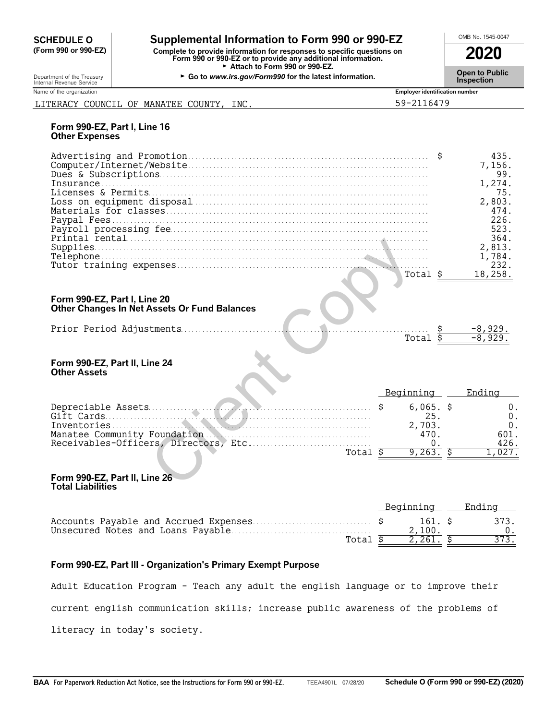# **CHEDULE O** Supplemental Information to Form 990 or 990-EZ<br>
Form 990 or 990-EZ) Complete to provide information for responses to specific questions on

**(Form 990 or 990-EZ) Complete to provide information for responses to specific questions on Form 990 or 990-EZ or to provide any additional information. 2020** Attach to Form 990 or 990-EZ.

Department of the Treasury **Constant Comment of the Collaboration Constant Constant Comment Constant Constant Constant Constant Constant Constant Constant Constant Constant Constant Constant Constant Constant Constant C** 

| Name of the organization |               |                 | <b>Employer identification number</b> |
|--------------------------|---------------|-----------------|---------------------------------------|
| COUNCIL<br>LITERACY      | MANATEE<br>OF | INC.<br>COUNTY, | 2116479<br>$59-2.$<br>ັ               |

### **Form 990-EZ, Part I, Line 16 Other Expenses**

|  | 7,156. |
|--|--------|
|  |        |
|  | 75.    |
|  | 2,803. |
|  | 474    |
|  | 226.   |
|  | 523.   |
|  | 364.   |
|  | 2,813. |
|  | .784   |
|  | 232    |
|  |        |

#### **Form 990-EZ, Part I, Line 20 Other Changes In Net Assets Or Fund Balances**

| ௱ <sub>⌒</sub> + ⊸ |  |
|--------------------|--|
|                    |  |

### **Form 990-EZ, Part II, Line 24 Other Assets**

|                                                                              |                    | JU4.<br>2,813.            |
|------------------------------------------------------------------------------|--------------------|---------------------------|
|                                                                              |                    | 1,784.                    |
|                                                                              |                    | 232.                      |
|                                                                              | Total              | 18, 258.                  |
|                                                                              |                    |                           |
| Form 990-EZ, Part I, Line 20<br>Other Changes In Net Assets Or Fund Balances |                    |                           |
|                                                                              | Total              | $\frac{-8,929.}{-8,929.}$ |
| Form 990-EZ, Part II, Line 24<br><b>Other Assets</b>                         |                    |                           |
|                                                                              | Beginning          | Ending                    |
|                                                                              | $6,065.$ \$<br>25. | $0$ .<br>0.               |
| Inventories.                                                                 | 2,703.             | 0.                        |
|                                                                              | 470.               | 601.                      |
|                                                                              |                    | 426.                      |
| Total                                                                        | 9,263.<br>Ŝ        | 1,027.                    |
|                                                                              |                    |                           |
| Form 990-EZ, Part II, Line 26<br>Total Liabilities                           |                    |                           |

#### **Form 990-EZ, Part II, Line 26 Total Liabilities**

|         | Beginning Ending |      |
|---------|------------------|------|
|         | 161. S           | 373. |
|         | 2.100.           |      |
| Total S | 2.261. \$        | 373. |

# **Form 990-EZ, Part III - Organization's Primary Exempt Purpose**

Adult Education Program - Teach any adult the english language or to improve their

current english communication skills; increase public awareness of the problems of

literacy in today's society.